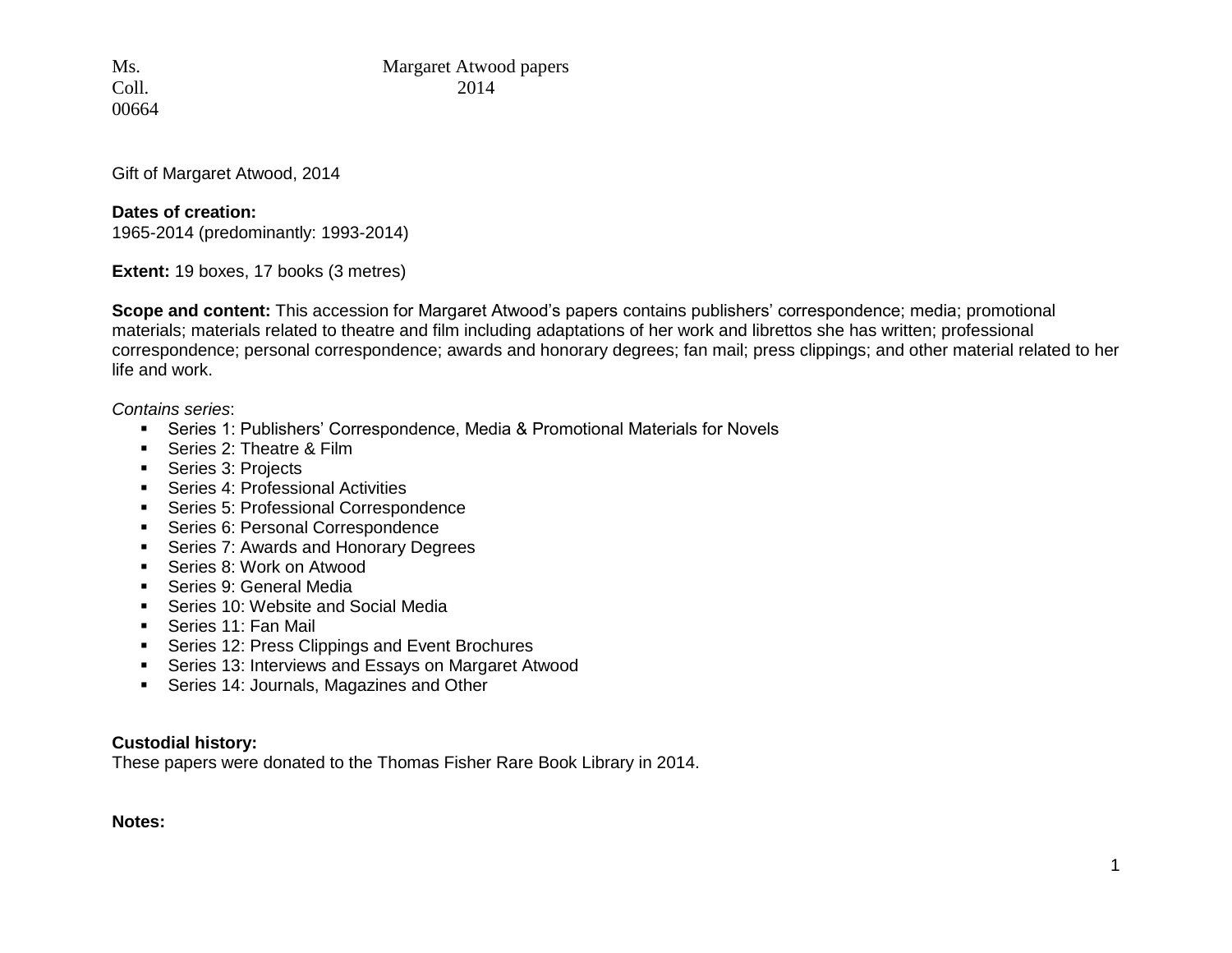Ms. Margaret Atwood papers Coll. 2014

Gift of Margaret Atwood, 2014

#### **Dates of creation:**

1965-2014 (predominantly: 1993-2014)

**Extent:** 19 boxes, 17 books (3 metres)

**Scope and content:** This accession for Margaret Atwood's papers contains publishers' correspondence; media; promotional materials; materials related to theatre and film including adaptations of her work and librettos she has written; professional correspondence; personal correspondence; awards and honorary degrees; fan mail; press clippings; and other material related to her life and work.

*Contains series*:

- Series 1: Publishers' Correspondence, Media & Promotional Materials for Novels
- **Series 2: Theatre & Film**
- Series 3: Projects
- Series 4: Professional Activities
- **Series 5: Professional Correspondence**
- **Series 6: Personal Correspondence**
- **Series 7: Awards and Honorary Degrees**
- Series 8: Work on Atwood
- **Series 9: General Media**
- **Series 10: Website and Social Media**
- **Series 11: Fan Mail**
- **Series 12: Press Clippings and Event Brochures**
- Series 13: Interviews and Essays on Margaret Atwood
- Series 14: Journals, Magazines and Other

#### **Custodial history:**

These papers were donated to the Thomas Fisher Rare Book Library in 2014.

**Notes:**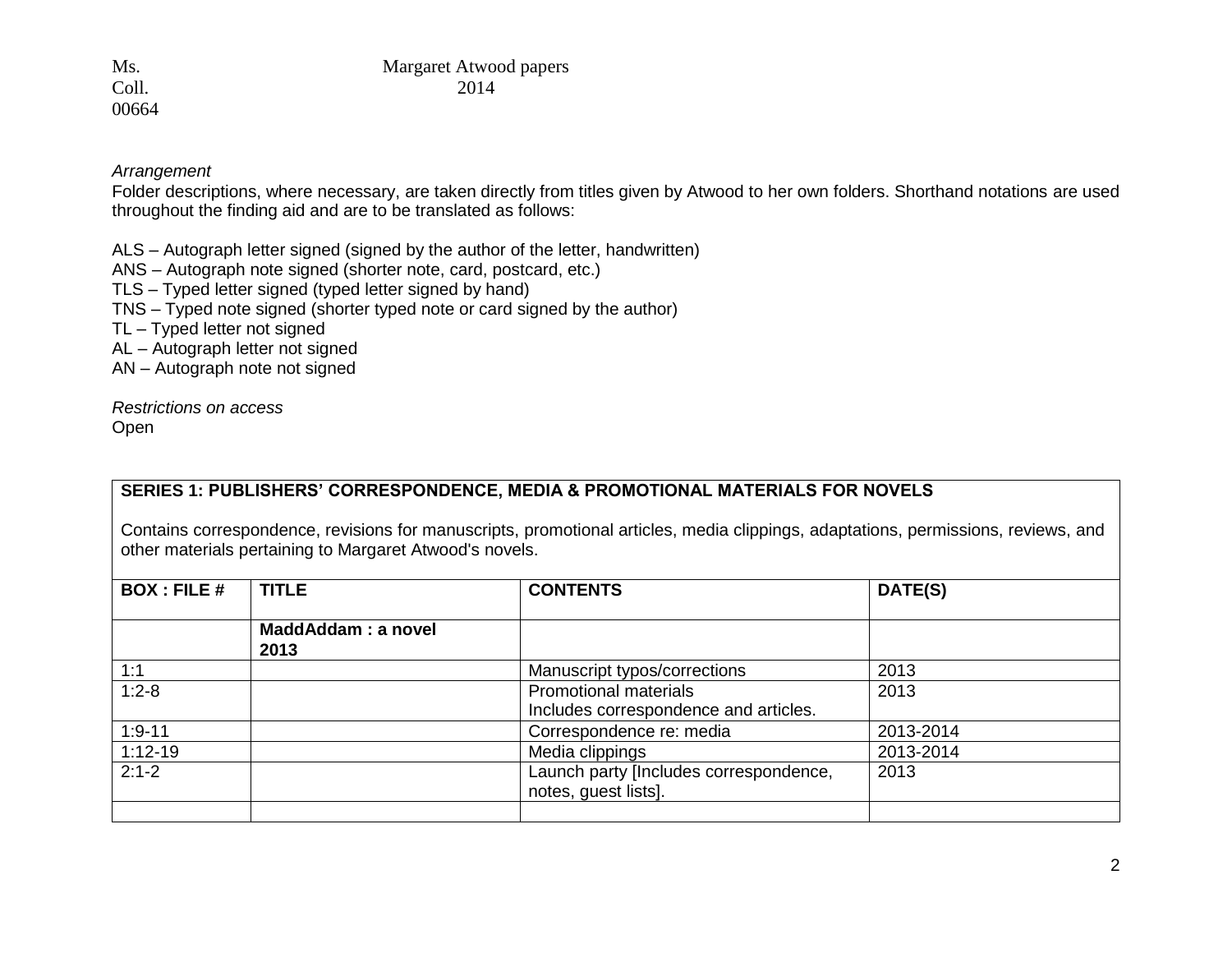#### *Arrangement*

Folder descriptions, where necessary, are taken directly from titles given by Atwood to her own folders. Shorthand notations are used throughout the finding aid and are to be translated as follows:

ALS – Autograph letter signed (signed by the author of the letter, handwritten)

- ANS Autograph note signed (shorter note, card, postcard, etc.)
- TLS Typed letter signed (typed letter signed by hand)
- TNS Typed note signed (shorter typed note or card signed by the author)
- TL Typed letter not signed
- AL Autograph letter not signed
- AN Autograph note not signed

*Restrictions on access* **Open** 

## **SERIES 1: PUBLISHERS' CORRESPONDENCE, MEDIA & PROMOTIONAL MATERIALS FOR NOVELS**

Contains correspondence, revisions for manuscripts, promotional articles, media clippings, adaptations, permissions, reviews, and other materials pertaining to Margaret Atwood's novels.

| <b>BOX: FILE #</b> | <b>TITLE</b>               | <b>CONTENTS</b>                                                | DATE(S)   |
|--------------------|----------------------------|----------------------------------------------------------------|-----------|
|                    | MaddAddam: a novel<br>2013 |                                                                |           |
| 1:1                |                            | Manuscript typos/corrections                                   | 2013      |
| $1:2-8$            |                            | <b>Promotional materials</b>                                   | 2013      |
|                    |                            | Includes correspondence and articles.                          |           |
| $1:9 - 11$         |                            | Correspondence re: media                                       | 2013-2014 |
| $1:12-19$          |                            | Media clippings                                                | 2013-2014 |
| $2:1-2$            |                            | Launch party [Includes correspondence,<br>notes, quest lists]. | 2013      |
|                    |                            |                                                                |           |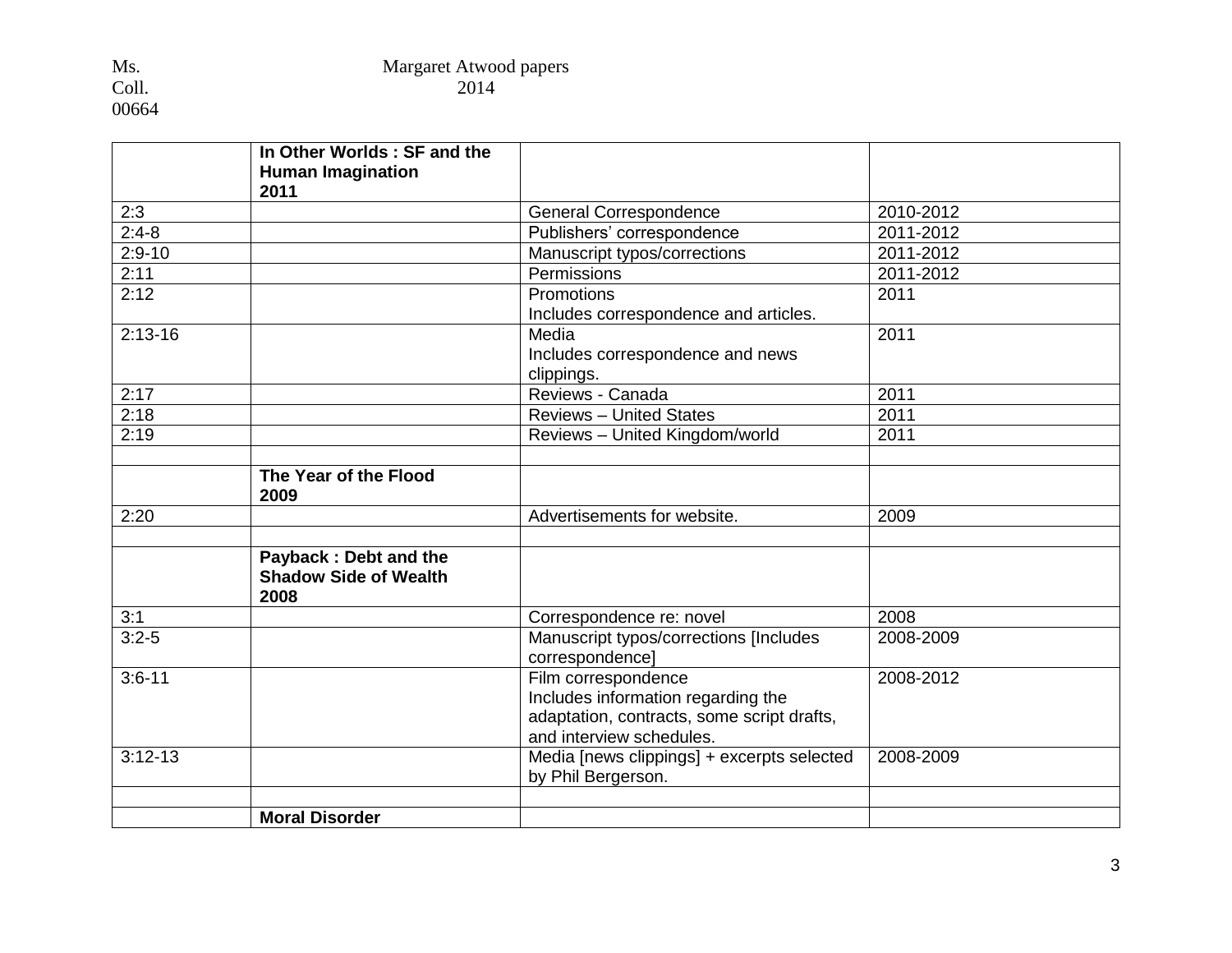|            | In Other Worlds: SF and the<br><b>Human Imagination</b><br>2011 |                                                                                                                                     |           |
|------------|-----------------------------------------------------------------|-------------------------------------------------------------------------------------------------------------------------------------|-----------|
| 2:3        |                                                                 | <b>General Correspondence</b>                                                                                                       | 2010-2012 |
| $2:4-8$    |                                                                 | Publishers' correspondence                                                                                                          | 2011-2012 |
| $2:9-10$   |                                                                 | Manuscript typos/corrections                                                                                                        | 2011-2012 |
| 2:11       |                                                                 | Permissions                                                                                                                         | 2011-2012 |
| 2:12       |                                                                 | <b>Promotions</b><br>Includes correspondence and articles.                                                                          | 2011      |
| $2:13-16$  |                                                                 | Media<br>Includes correspondence and news<br>clippings.                                                                             | 2011      |
| 2:17       |                                                                 | Reviews - Canada                                                                                                                    | 2011      |
| 2:18       |                                                                 | <b>Reviews - United States</b>                                                                                                      | 2011      |
| 2:19       |                                                                 | Reviews - United Kingdom/world                                                                                                      | 2011      |
|            | The Year of the Flood<br>2009                                   |                                                                                                                                     |           |
| 2:20       |                                                                 | Advertisements for website.                                                                                                         | 2009      |
|            | Payback: Debt and the<br><b>Shadow Side of Wealth</b><br>2008   |                                                                                                                                     |           |
| 3:1        |                                                                 | Correspondence re: novel                                                                                                            | 2008      |
| $3:2-5$    |                                                                 | Manuscript typos/corrections [Includes<br>correspondence]                                                                           | 2008-2009 |
| $3:6 - 11$ |                                                                 | Film correspondence<br>Includes information regarding the<br>adaptation, contracts, some script drafts,<br>and interview schedules. | 2008-2012 |
| $3:12-13$  |                                                                 | Media [news clippings] + excerpts selected<br>by Phil Bergerson.                                                                    | 2008-2009 |
|            |                                                                 |                                                                                                                                     |           |
|            | <b>Moral Disorder</b>                                           |                                                                                                                                     |           |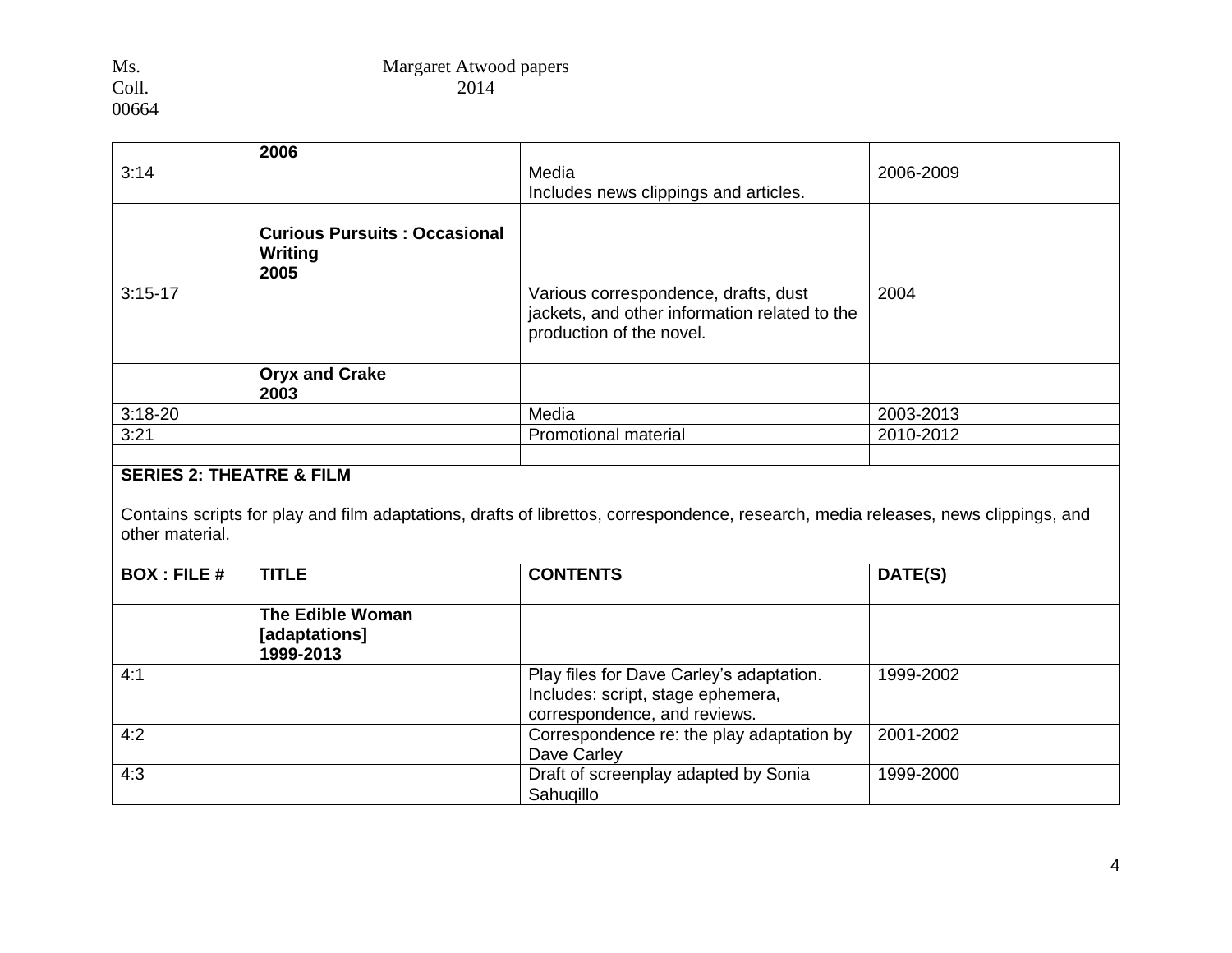Coll. 00664

# Ms. Margaret Atwood papers<br>Coll. 2014

|           | 2006                                                   |                                                                                                                   |           |
|-----------|--------------------------------------------------------|-------------------------------------------------------------------------------------------------------------------|-----------|
| 3:14      |                                                        | Media                                                                                                             | 2006-2009 |
|           |                                                        | Includes news clippings and articles.                                                                             |           |
|           |                                                        |                                                                                                                   |           |
|           | <b>Curious Pursuits: Occasional</b><br>Writing<br>2005 |                                                                                                                   |           |
| $3:15-17$ |                                                        | Various correspondence, drafts, dust<br>jackets, and other information related to the<br>production of the novel. | 2004      |
|           | <b>Oryx and Crake</b><br>2003                          |                                                                                                                   |           |
| $3:18-20$ |                                                        | Media                                                                                                             | 2003-2013 |
| 3:21      |                                                        | <b>Promotional material</b>                                                                                       | 2010-2012 |
|           |                                                        |                                                                                                                   |           |

# **SERIES 2: THEATRE & FILM**

Contains scripts for play and film adaptations, drafts of librettos, correspondence, research, media releases, news clippings, and other material.

| <b>BOX: FILE #</b> | <b>TITLE</b>                                   | <b>CONTENTS</b>                                                                                               | DATE(S)   |
|--------------------|------------------------------------------------|---------------------------------------------------------------------------------------------------------------|-----------|
|                    | The Edible Woman<br>[adaptations]<br>1999-2013 |                                                                                                               |           |
| 4:1                |                                                | Play files for Dave Carley's adaptation.<br>Includes: script, stage ephemera,<br>correspondence, and reviews. | 1999-2002 |
| 4:2                |                                                | Correspondence re: the play adaptation by<br>Dave Carley                                                      | 2001-2002 |
| 4:3                |                                                | Draft of screenplay adapted by Sonia<br>Sahuqillo                                                             | 1999-2000 |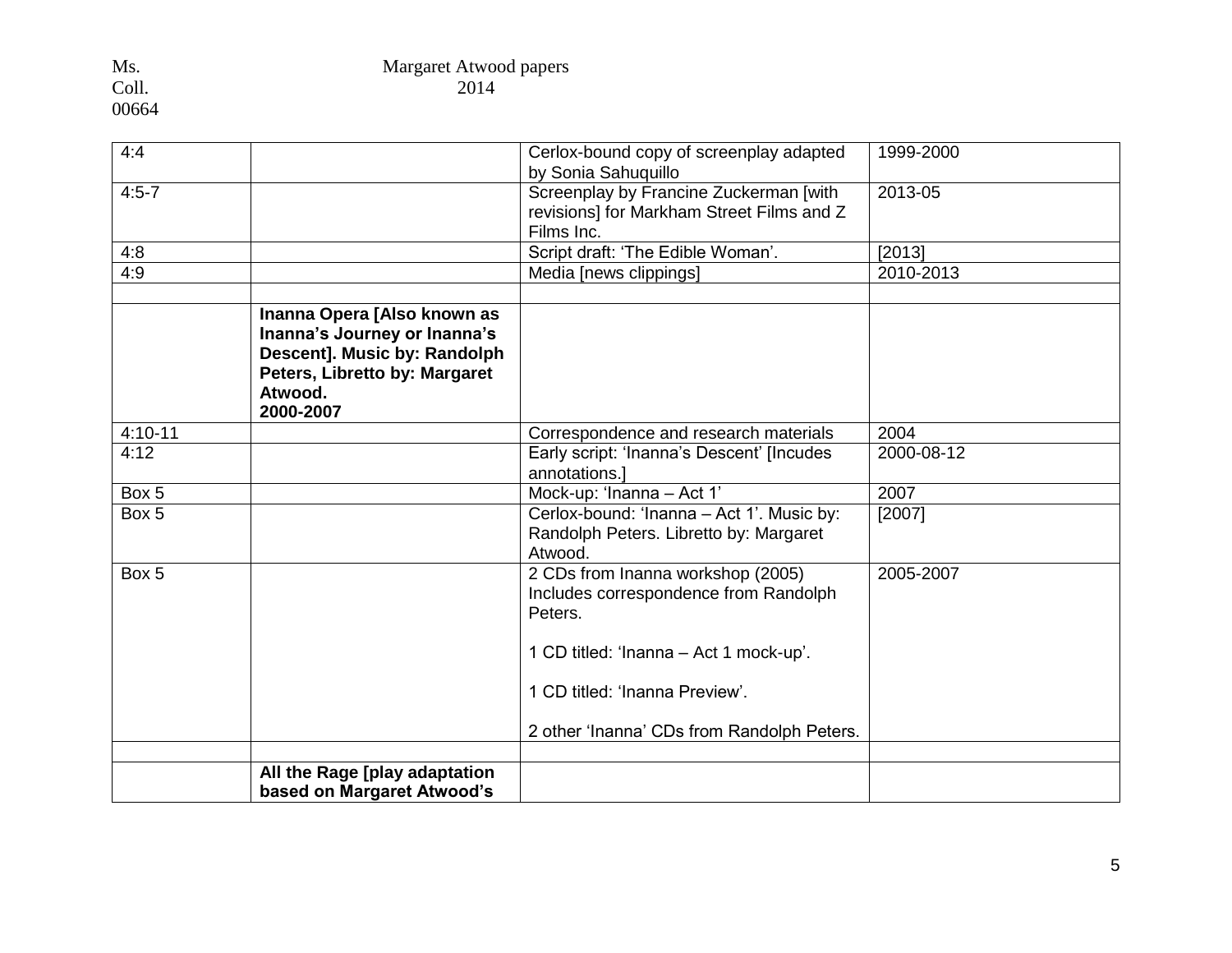| 4:4       |                                                                                                                                                      | Cerlox-bound copy of screenplay adapted<br>by Sonia Sahuquillo                                                                  | 1999-2000  |
|-----------|------------------------------------------------------------------------------------------------------------------------------------------------------|---------------------------------------------------------------------------------------------------------------------------------|------------|
| $4:5 - 7$ |                                                                                                                                                      | Screenplay by Francine Zuckerman [with<br>revisions] for Markham Street Films and Z<br>Films Inc.                               | 2013-05    |
| 4:8       |                                                                                                                                                      | Script draft: 'The Edible Woman'.                                                                                               | [2013]     |
| 4:9       |                                                                                                                                                      | Media [news clippings]                                                                                                          | 2010-2013  |
|           | Inanna Opera [Also known as<br>Inanna's Journey or Inanna's<br>Descent]. Music by: Randolph<br>Peters, Libretto by: Margaret<br>Atwood.<br>2000-2007 |                                                                                                                                 |            |
| $4:10-11$ |                                                                                                                                                      | Correspondence and research materials                                                                                           | 2004       |
| 4:12      |                                                                                                                                                      | Early script: 'Inanna's Descent' [Incudes<br>annotations.                                                                       | 2000-08-12 |
| Box 5     |                                                                                                                                                      | Mock-up: 'Inanna - Act 1'                                                                                                       | 2007       |
| Box 5     |                                                                                                                                                      | Cerlox-bound: 'Inanna - Act 1'. Music by:<br>Randolph Peters. Libretto by: Margaret<br>Atwood.                                  | [2007]     |
| Box 5     |                                                                                                                                                      | 2 CDs from Inanna workshop (2005)<br>Includes correspondence from Randolph<br>Peters.<br>1 CD titled: 'Inanna - Act 1 mock-up'. | 2005-2007  |
|           |                                                                                                                                                      | 1 CD titled: 'Inanna Preview'.                                                                                                  |            |
|           |                                                                                                                                                      | 2 other 'Inanna' CDs from Randolph Peters.                                                                                      |            |
|           |                                                                                                                                                      |                                                                                                                                 |            |
|           | All the Rage [play adaptation<br>based on Margaret Atwood's                                                                                          |                                                                                                                                 |            |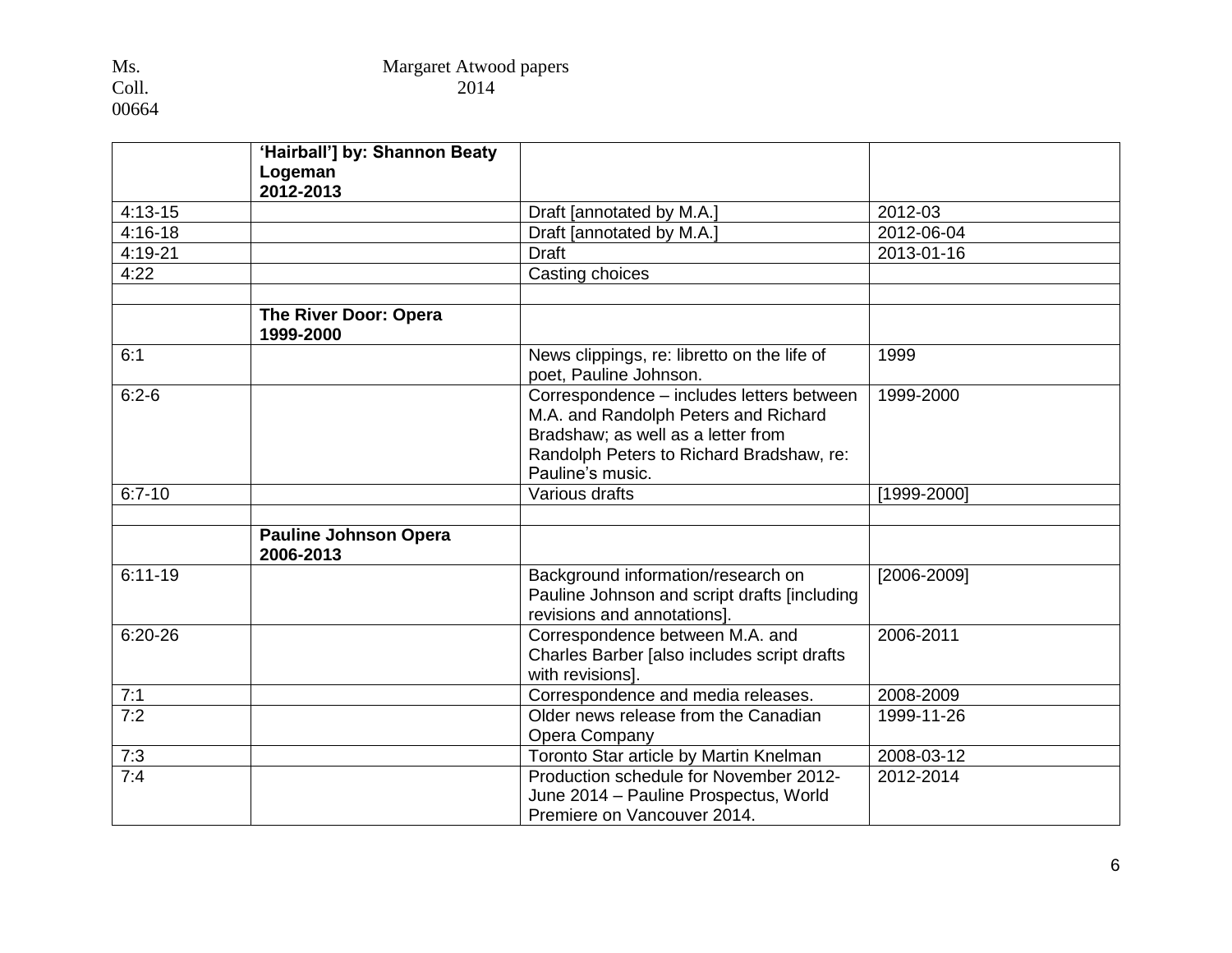|             | 'Hairball'] by: Shannon Beaty<br>Logeman<br>2012-2013 |                                                                                                                                                                                         |                 |
|-------------|-------------------------------------------------------|-----------------------------------------------------------------------------------------------------------------------------------------------------------------------------------------|-----------------|
| $4:13 - 15$ |                                                       | Draft [annotated by M.A.]                                                                                                                                                               | 2012-03         |
| $4:16-18$   |                                                       | Draft [annotated by M.A.]                                                                                                                                                               | 2012-06-04      |
| 4:19-21     |                                                       | <b>Draft</b>                                                                                                                                                                            | 2013-01-16      |
| 4:22        |                                                       | Casting choices                                                                                                                                                                         |                 |
|             | The River Door: Opera<br>1999-2000                    |                                                                                                                                                                                         |                 |
| 6:1         |                                                       | News clippings, re: libretto on the life of<br>poet, Pauline Johnson.                                                                                                                   | 1999            |
| $6:2-6$     |                                                       | Correspondence - includes letters between<br>M.A. and Randolph Peters and Richard<br>Bradshaw; as well as a letter from<br>Randolph Peters to Richard Bradshaw, re:<br>Pauline's music. | 1999-2000       |
| $6:7-10$    |                                                       | Various drafts                                                                                                                                                                          | [1999-2000]     |
|             | <b>Pauline Johnson Opera</b><br>2006-2013             |                                                                                                                                                                                         |                 |
| $6:11 - 19$ |                                                       | Background information/research on<br>Pauline Johnson and script drafts [including<br>revisions and annotations]                                                                        | $[2006 - 2009]$ |
| $6:20 - 26$ |                                                       | Correspondence between M.A. and<br>Charles Barber [also includes script drafts<br>with revisions].                                                                                      | 2006-2011       |
| 7:1         |                                                       | Correspondence and media releases.                                                                                                                                                      | 2008-2009       |
| 7:2         |                                                       | Older news release from the Canadian<br>Opera Company                                                                                                                                   | 1999-11-26      |
| 7:3         |                                                       | Toronto Star article by Martin Knelman                                                                                                                                                  | 2008-03-12      |
| 7:4         |                                                       | Production schedule for November 2012-<br>June 2014 - Pauline Prospectus, World<br>Premiere on Vancouver 2014.                                                                          | 2012-2014       |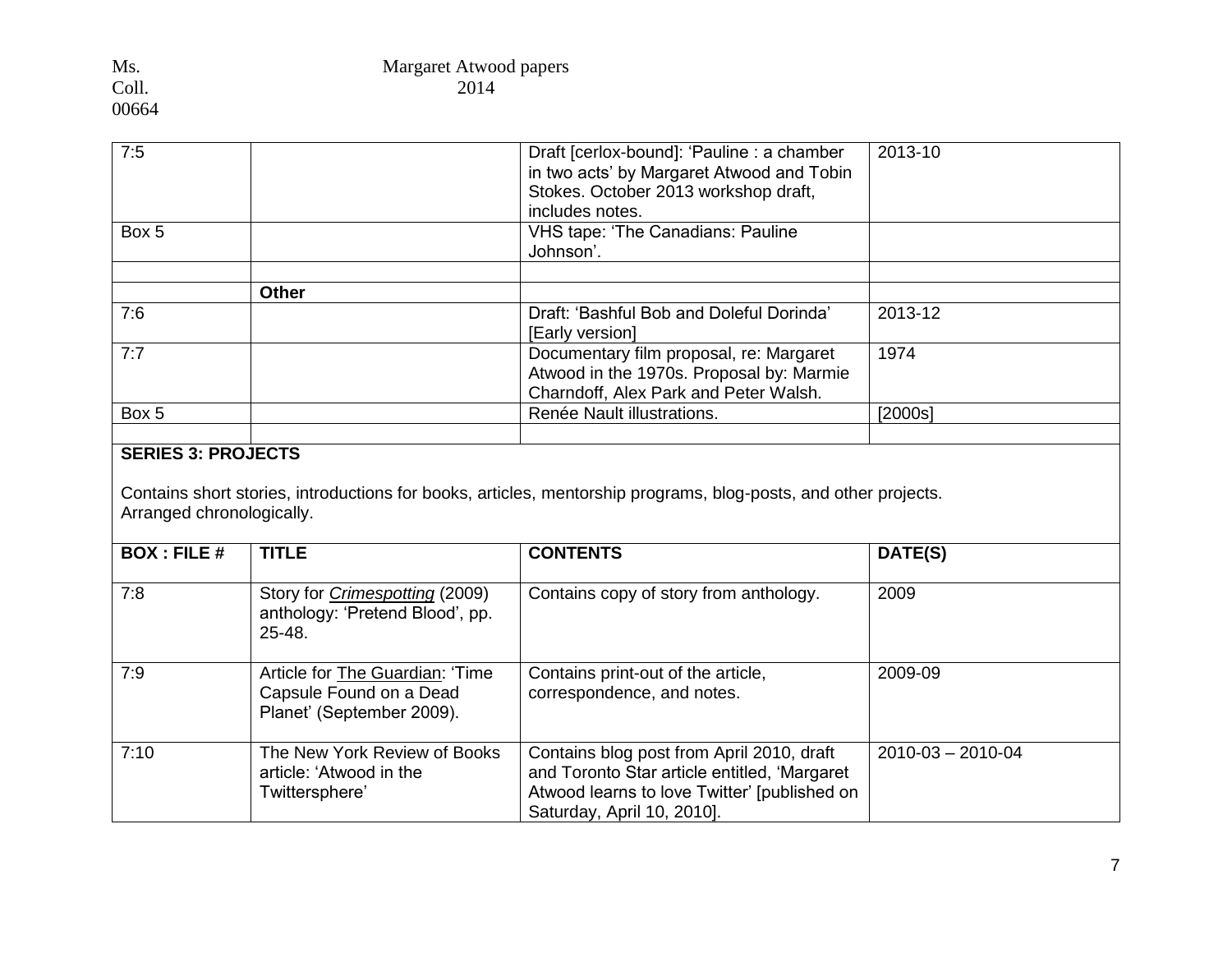| 7:5   |              | Draft [cerlox-bound]: 'Pauline : a chamber<br>in two acts' by Margaret Atwood and Tobin<br>Stokes. October 2013 workshop draft, | 2013-10 |
|-------|--------------|---------------------------------------------------------------------------------------------------------------------------------|---------|
|       |              | includes notes.                                                                                                                 |         |
| Box 5 |              | <b>VHS tape: 'The Canadians: Pauline</b>                                                                                        |         |
|       |              | Johnson'.                                                                                                                       |         |
|       |              |                                                                                                                                 |         |
|       | <b>Other</b> |                                                                                                                                 |         |
| 7:6   |              | Draft: 'Bashful Bob and Doleful Dorinda'                                                                                        | 2013-12 |
|       |              | [Early version]                                                                                                                 |         |
| 7:7   |              | Documentary film proposal, re: Margaret                                                                                         | 1974    |
|       |              | Atwood in the 1970s. Proposal by: Marmie                                                                                        |         |
|       |              | Charndoff, Alex Park and Peter Walsh.                                                                                           |         |
| Box 5 |              | Renée Nault illustrations.                                                                                                      | [2000s] |
|       |              |                                                                                                                                 |         |

# **SERIES 3: PROJECTS**

Contains short stories, introductions for books, articles, mentorship programs, blog-posts, and other projects. Arranged chronologically.

| <b>BOX: FILE #</b> | <b>TITLE</b>                                                                            | <b>CONTENTS</b>                                                                                                                                                         | DATE(S)                 |
|--------------------|-----------------------------------------------------------------------------------------|-------------------------------------------------------------------------------------------------------------------------------------------------------------------------|-------------------------|
| 7:8                | Story for <i>Crimespotting</i> (2009)<br>anthology: 'Pretend Blood', pp.<br>25-48.      | Contains copy of story from anthology.                                                                                                                                  | 2009                    |
| 7:9                | Article for The Guardian: 'Time<br>Capsule Found on a Dead<br>Planet' (September 2009). | Contains print-out of the article,<br>correspondence, and notes.                                                                                                        | 2009-09                 |
| 7:10               | The New York Review of Books<br>article: 'Atwood in the<br>Twittersphere'               | Contains blog post from April 2010, draft<br>and Toronto Star article entitled, 'Margaret<br>Atwood learns to love Twitter' [published on<br>Saturday, April 10, 2010]. | $2010 - 03 - 2010 - 04$ |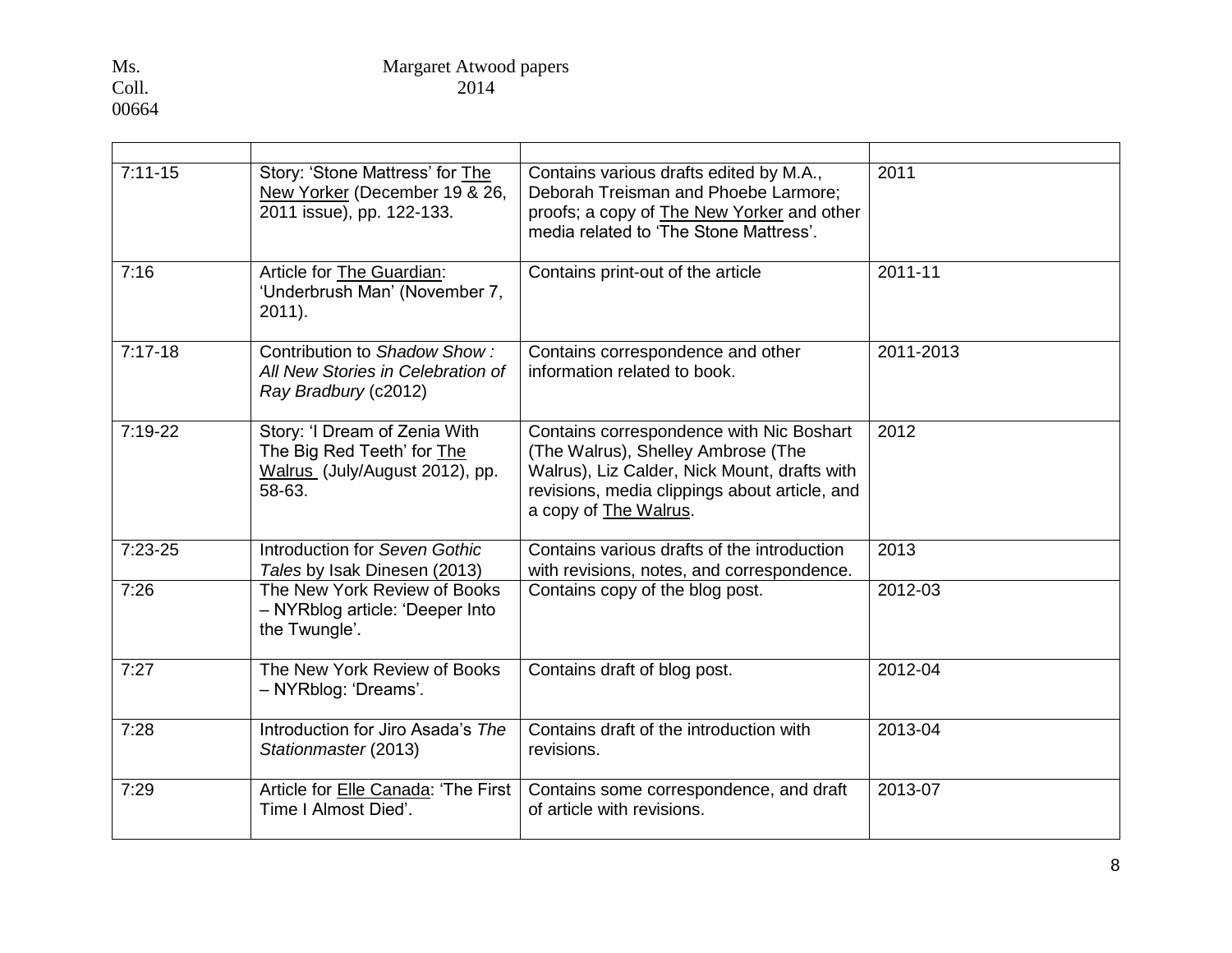| $7:11 - 15$ | Story: 'Stone Mattress' for The<br>New Yorker (December 19 & 26,<br>2011 issue), pp. 122-133.           | Contains various drafts edited by M.A.,<br>Deborah Treisman and Phoebe Larmore;<br>proofs; a copy of The New Yorker and other<br>media related to 'The Stone Mattress'.                                  | 2011      |
|-------------|---------------------------------------------------------------------------------------------------------|----------------------------------------------------------------------------------------------------------------------------------------------------------------------------------------------------------|-----------|
| 7:16        | Article for The Guardian:<br>'Underbrush Man' (November 7,<br>$2011$ ).                                 | Contains print-out of the article                                                                                                                                                                        | 2011-11   |
| $7:17-18$   | Contribution to Shadow Show:<br>All New Stories in Celebration of<br>Ray Bradbury (c2012)               | Contains correspondence and other<br>information related to book.                                                                                                                                        | 2011-2013 |
| $7:19-22$   | Story: 'I Dream of Zenia With<br>The Big Red Teeth' for The<br>Walrus (July/August 2012), pp.<br>58-63. | Contains correspondence with Nic Boshart<br>(The Walrus), Shelley Ambrose (The<br>Walrus), Liz Calder, Nick Mount, drafts with<br>revisions, media clippings about article, and<br>a copy of The Walrus. | 2012      |
| $7:23-25$   | Introduction for Seven Gothic<br>Tales by Isak Dinesen (2013)                                           | Contains various drafts of the introduction<br>with revisions, notes, and correspondence.                                                                                                                | 2013      |
| 7:26        | The New York Review of Books<br>- NYRblog article: 'Deeper Into<br>the Twungle'.                        | Contains copy of the blog post.                                                                                                                                                                          | 2012-03   |
| 7:27        | The New York Review of Books<br>- NYRblog: 'Dreams'.                                                    | Contains draft of blog post.                                                                                                                                                                             | 2012-04   |
| 7:28        | Introduction for Jiro Asada's The<br>Stationmaster (2013)                                               | Contains draft of the introduction with<br>revisions.                                                                                                                                                    | 2013-04   |
| 7:29        | Article for Elle Canada: 'The First<br>Time I Almost Died'.                                             | Contains some correspondence, and draft<br>of article with revisions.                                                                                                                                    | 2013-07   |
|             |                                                                                                         |                                                                                                                                                                                                          |           |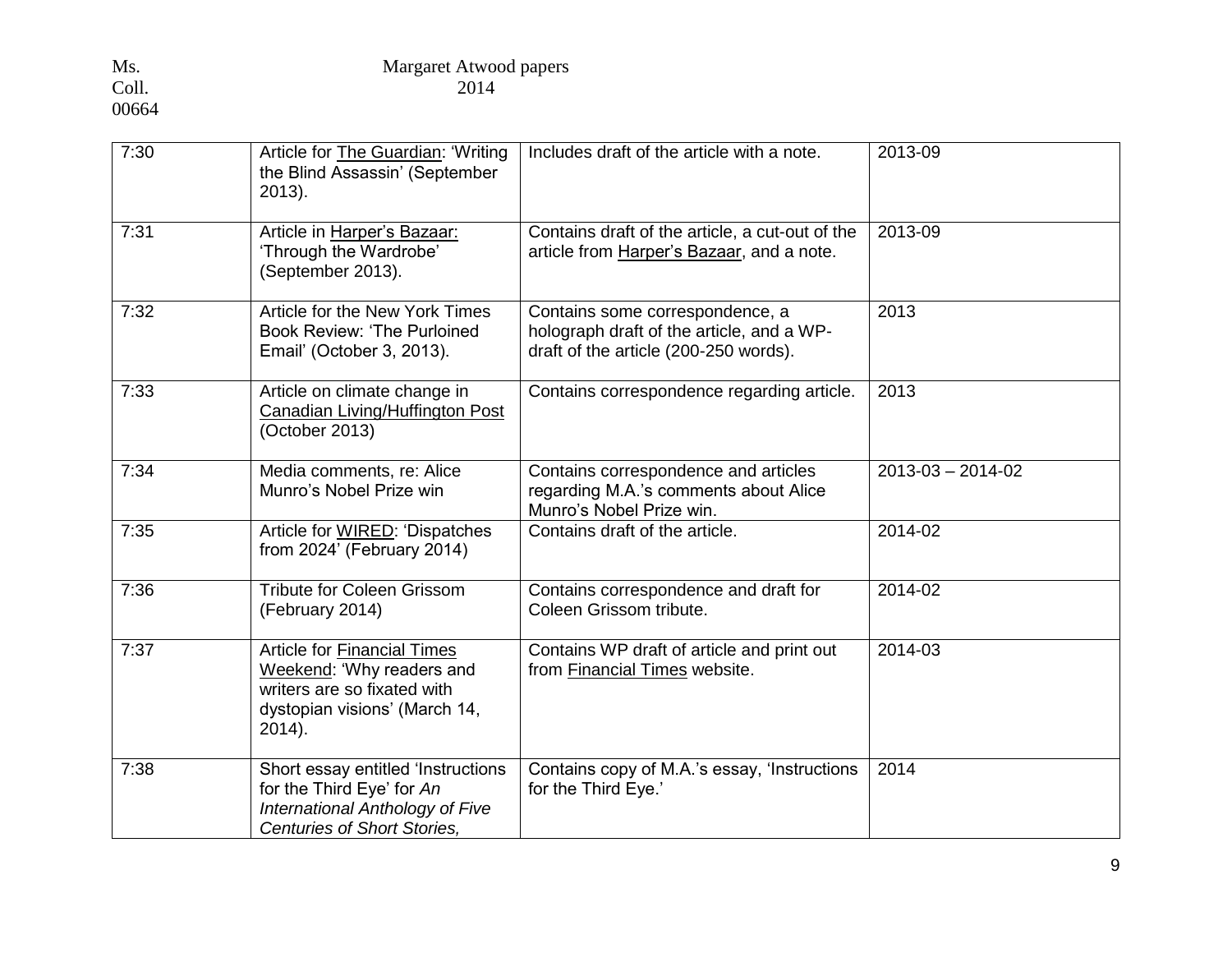| 7:30 | Article for The Guardian: 'Writing<br>the Blind Assassin' (September<br>2013).                                                            | Includes draft of the article with a note.                                                                            | 2013-09                 |
|------|-------------------------------------------------------------------------------------------------------------------------------------------|-----------------------------------------------------------------------------------------------------------------------|-------------------------|
| 7:31 | Article in Harper's Bazaar:<br>'Through the Wardrobe'<br>(September 2013).                                                                | Contains draft of the article, a cut-out of the<br>article from Harper's Bazaar, and a note.                          | 2013-09                 |
| 7:32 | Article for the New York Times<br><b>Book Review: 'The Purloined</b><br>Email' (October 3, 2013).                                         | Contains some correspondence, a<br>holograph draft of the article, and a WP-<br>draft of the article (200-250 words). | 2013                    |
| 7:33 | Article on climate change in<br><b>Canadian Living/Huffington Post</b><br>(October 2013)                                                  | Contains correspondence regarding article.                                                                            | 2013                    |
| 7:34 | Media comments, re: Alice<br>Munro's Nobel Prize win                                                                                      | Contains correspondence and articles<br>regarding M.A.'s comments about Alice<br>Munro's Nobel Prize win.             | $2013 - 03 - 2014 - 02$ |
| 7:35 | Article for WIRED: 'Dispatches<br>from 2024' (February 2014)                                                                              | Contains draft of the article.                                                                                        | 2014-02                 |
| 7:36 | <b>Tribute for Coleen Grissom</b><br>(February 2014)                                                                                      | Contains correspondence and draft for<br>Coleen Grissom tribute.                                                      | 2014-02                 |
| 7:37 | <b>Article for Financial Times</b><br>Weekend: 'Why readers and<br>writers are so fixated with<br>dystopian visions' (March 14,<br>2014). | Contains WP draft of article and print out<br>from Financial Times website.                                           | 2014-03                 |
| 7:38 | Short essay entitled 'Instructions<br>for the Third Eye' for An<br>International Anthology of Five<br><b>Centuries of Short Stories.</b>  | Contains copy of M.A.'s essay, 'Instructions<br>for the Third Eye.'                                                   | 2014                    |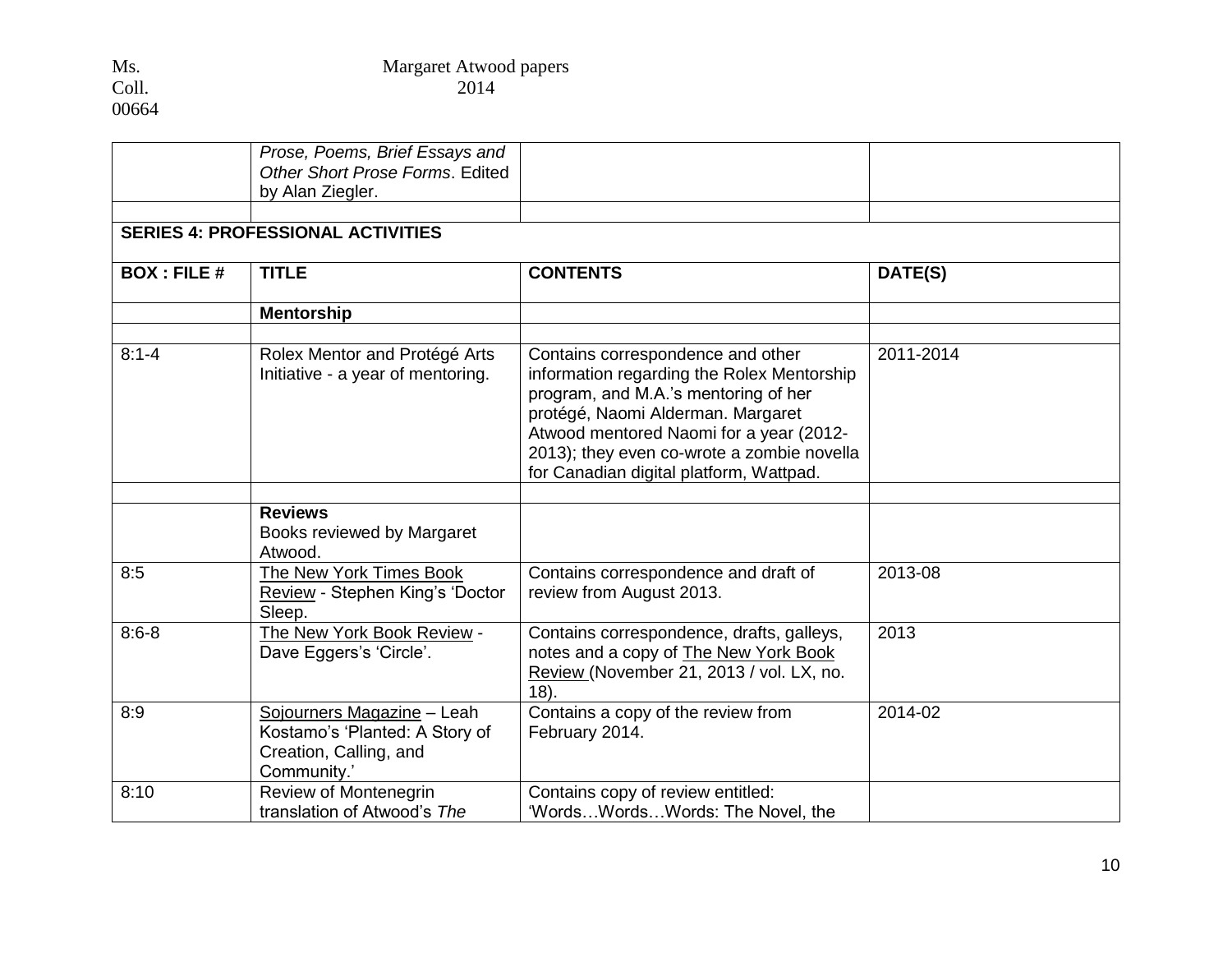| Ms.   | Margaret Atwood papers |
|-------|------------------------|
| Coll. | 2014                   |
| 00664 |                        |

|                    | Prose, Poems, Brief Essays and<br>Other Short Prose Forms, Edited<br>by Alan Ziegler.                 |                                                                                                                                                                                                                                                                                                  |           |
|--------------------|-------------------------------------------------------------------------------------------------------|--------------------------------------------------------------------------------------------------------------------------------------------------------------------------------------------------------------------------------------------------------------------------------------------------|-----------|
|                    |                                                                                                       |                                                                                                                                                                                                                                                                                                  |           |
|                    | <b>SERIES 4: PROFESSIONAL ACTIVITIES</b>                                                              |                                                                                                                                                                                                                                                                                                  |           |
| <b>BOX: FILE #</b> | <b>TITLE</b>                                                                                          | <b>CONTENTS</b>                                                                                                                                                                                                                                                                                  | DATE(S)   |
|                    | <b>Mentorship</b>                                                                                     |                                                                                                                                                                                                                                                                                                  |           |
|                    |                                                                                                       |                                                                                                                                                                                                                                                                                                  |           |
| $8:1 - 4$          | Rolex Mentor and Protégé Arts<br>Initiative - a year of mentoring.                                    | Contains correspondence and other<br>information regarding the Rolex Mentorship<br>program, and M.A.'s mentoring of her<br>protégé, Naomi Alderman. Margaret<br>Atwood mentored Naomi for a year (2012-<br>2013); they even co-wrote a zombie novella<br>for Canadian digital platform, Wattpad. | 2011-2014 |
|                    |                                                                                                       |                                                                                                                                                                                                                                                                                                  |           |
|                    | <b>Reviews</b><br>Books reviewed by Margaret<br>Atwood.                                               |                                                                                                                                                                                                                                                                                                  |           |
| 8:5                | The New York Times Book<br>Review - Stephen King's 'Doctor<br>Sleep.                                  | Contains correspondence and draft of<br>review from August 2013.                                                                                                                                                                                                                                 | 2013-08   |
| $8:6-8$            | The New York Book Review -<br>Dave Eggers's 'Circle'.                                                 | Contains correspondence, drafts, galleys,<br>notes and a copy of The New York Book<br>Review (November 21, 2013 / vol. LX, no.<br>$18$ ).                                                                                                                                                        | 2013      |
| 8:9                | Sojourners Magazine - Leah<br>Kostamo's 'Planted: A Story of<br>Creation, Calling, and<br>Community.' | Contains a copy of the review from<br>February 2014.                                                                                                                                                                                                                                             | 2014-02   |
| 8:10               | Review of Montenegrin<br>translation of Atwood's The                                                  | Contains copy of review entitled:<br>'WordsWordsWords: The Novel, the                                                                                                                                                                                                                            |           |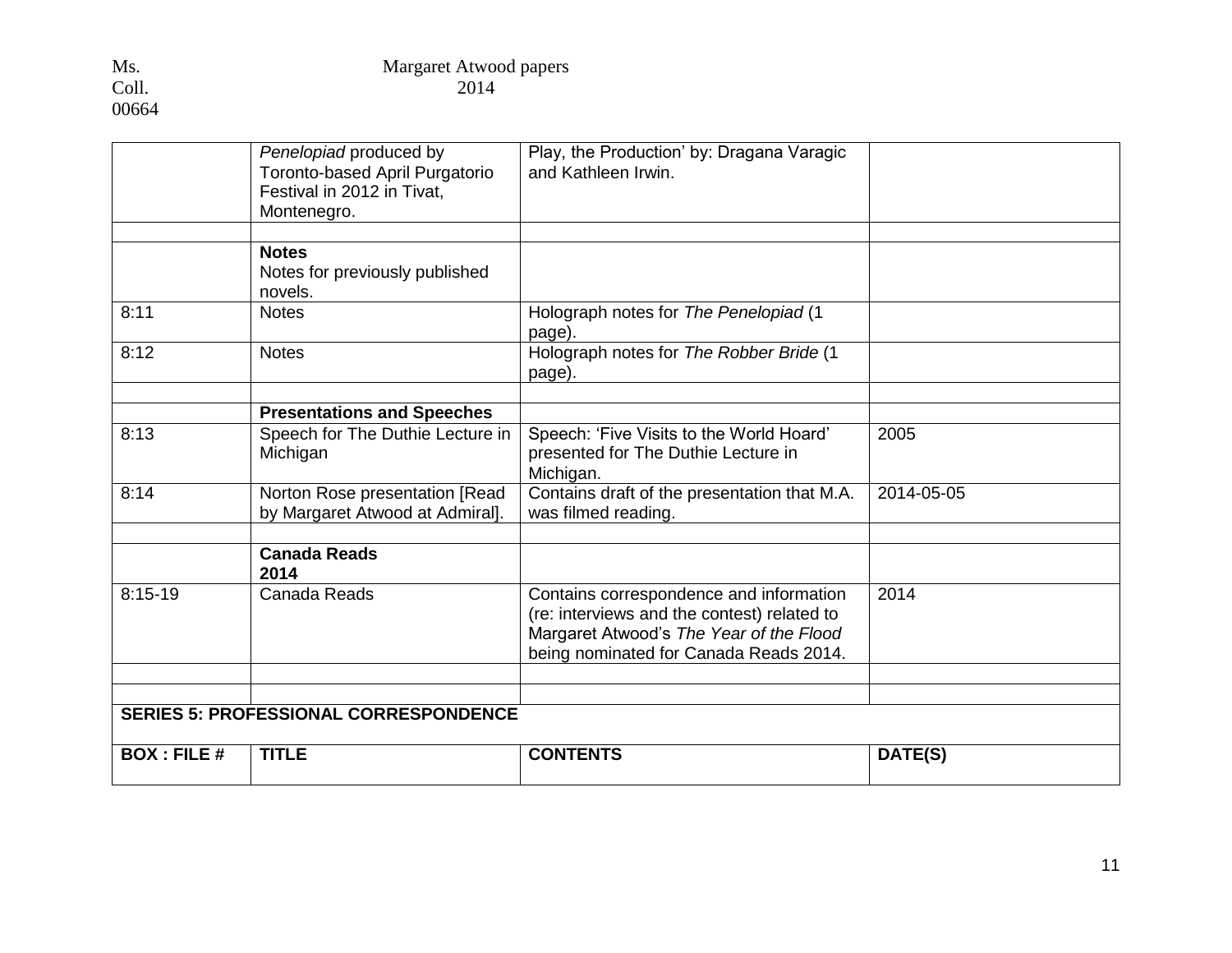|                    | Penelopiad produced by<br>Toronto-based April Purgatorio<br>Festival in 2012 in Tivat,<br>Montenegro. | Play, the Production' by: Dragana Varagic<br>and Kathleen Irwin.                                                                                                            |            |
|--------------------|-------------------------------------------------------------------------------------------------------|-----------------------------------------------------------------------------------------------------------------------------------------------------------------------------|------------|
|                    | <b>Notes</b><br>Notes for previously published<br>novels.                                             |                                                                                                                                                                             |            |
| 8:11               | <b>Notes</b>                                                                                          | Holograph notes for The Penelopiad (1<br>page).                                                                                                                             |            |
| 8:12               | <b>Notes</b>                                                                                          | Holograph notes for The Robber Bride (1<br>page).                                                                                                                           |            |
|                    | <b>Presentations and Speeches</b>                                                                     |                                                                                                                                                                             |            |
| 8:13               | Speech for The Duthie Lecture in<br>Michigan                                                          | Speech: 'Five Visits to the World Hoard'<br>presented for The Duthie Lecture in<br>Michigan.                                                                                | 2005       |
| 8:14               | Norton Rose presentation [Read<br>by Margaret Atwood at Admiral].                                     | Contains draft of the presentation that M.A.<br>was filmed reading.                                                                                                         | 2014-05-05 |
|                    | <b>Canada Reads</b><br>2014                                                                           |                                                                                                                                                                             |            |
| $8:15-19$          | Canada Reads                                                                                          | Contains correspondence and information<br>(re: interviews and the contest) related to<br>Margaret Atwood's The Year of the Flood<br>being nominated for Canada Reads 2014. | 2014       |
|                    |                                                                                                       |                                                                                                                                                                             |            |
|                    | <b>SERIES 5: PROFESSIONAL CORRESPONDENCE</b>                                                          |                                                                                                                                                                             |            |
| <b>BOX: FILE #</b> | <b>TITLE</b>                                                                                          | <b>CONTENTS</b>                                                                                                                                                             | DATE(S)    |
|                    |                                                                                                       |                                                                                                                                                                             |            |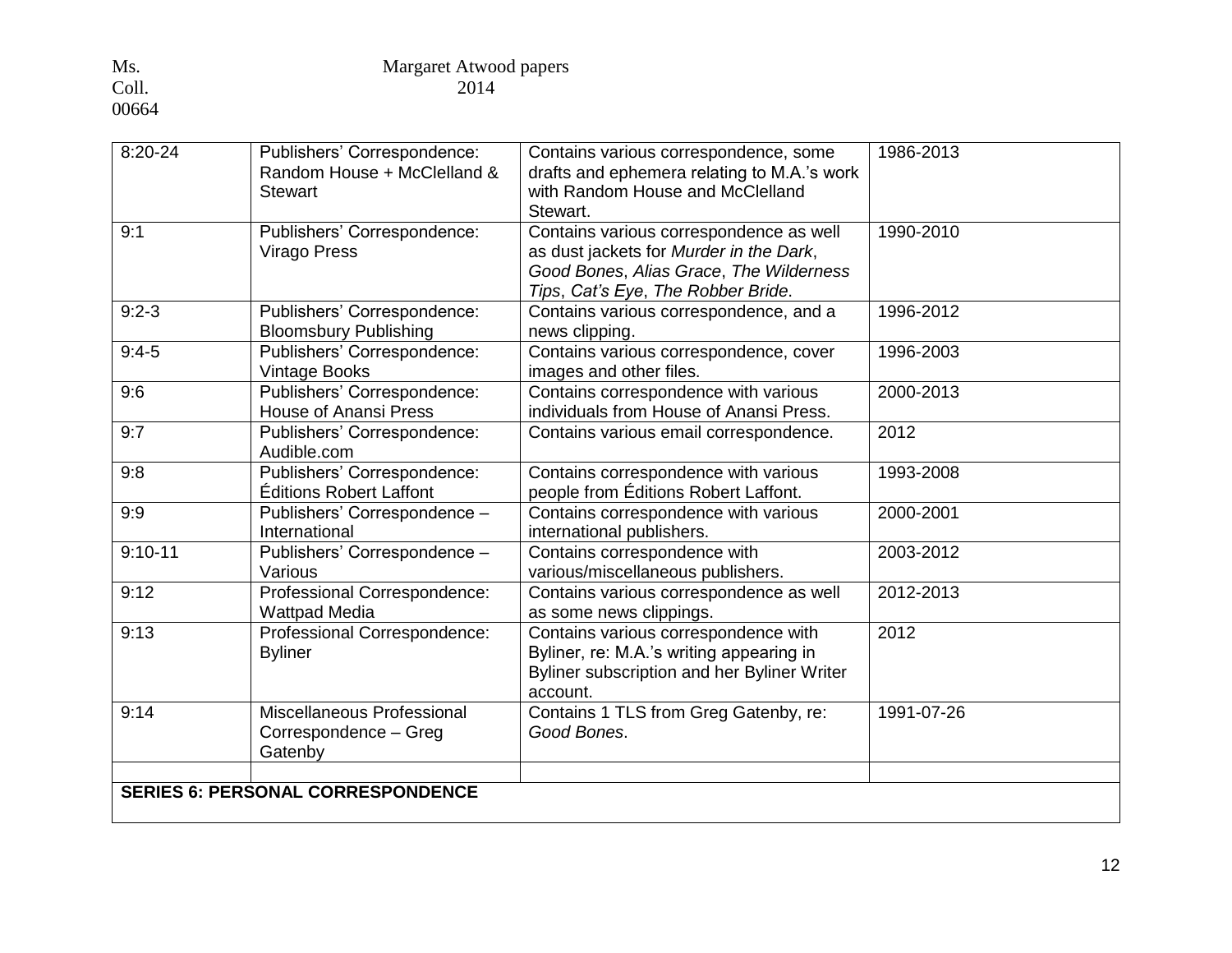| Publishers' Correspondence:<br>Random House + McClelland &     | Contains various correspondence, some<br>drafts and ephemera relating to M.A.'s work                                                                                | 1986-2013                                                                                                                                        |
|----------------------------------------------------------------|---------------------------------------------------------------------------------------------------------------------------------------------------------------------|--------------------------------------------------------------------------------------------------------------------------------------------------|
| <b>Stewart</b>                                                 | Stewart.                                                                                                                                                            |                                                                                                                                                  |
| Publishers' Correspondence:<br><b>Virago Press</b>             | Contains various correspondence as well<br>as dust jackets for Murder in the Dark,<br>Good Bones, Alias Grace, The Wilderness<br>Tips, Cat's Eye, The Robber Bride. | 1990-2010                                                                                                                                        |
| Publishers' Correspondence:<br><b>Bloomsbury Publishing</b>    | Contains various correspondence, and a<br>news clipping.                                                                                                            | 1996-2012                                                                                                                                        |
| Publishers' Correspondence:<br>Vintage Books                   | Contains various correspondence, cover<br>images and other files.                                                                                                   | 1996-2003                                                                                                                                        |
| <b>House of Anansi Press</b>                                   | individuals from House of Anansi Press.                                                                                                                             | 2000-2013                                                                                                                                        |
| Publishers' Correspondence:<br>Audible.com                     | Contains various email correspondence.                                                                                                                              | 2012                                                                                                                                             |
| <b>Éditions Robert Laffont</b>                                 | people from Éditions Robert Laffont.                                                                                                                                | 1993-2008                                                                                                                                        |
| Publishers' Correspondence -<br>International                  | Contains correspondence with various<br>international publishers.                                                                                                   | 2000-2001                                                                                                                                        |
| Various                                                        | various/miscellaneous publishers.                                                                                                                                   | 2003-2012                                                                                                                                        |
| Professional Correspondence:<br><b>Wattpad Media</b>           | Contains various correspondence as well<br>as some news clippings.                                                                                                  | 2012-2013                                                                                                                                        |
| Professional Correspondence:<br><b>Byliner</b>                 | Contains various correspondence with<br>Byliner, re: M.A.'s writing appearing in<br>Byliner subscription and her Byliner Writer<br>account.                         | 2012                                                                                                                                             |
| Miscellaneous Professional<br>Correspondence - Greg<br>Gatenby | Contains 1 TLS from Greg Gatenby, re:<br>Good Bones.                                                                                                                | 1991-07-26                                                                                                                                       |
|                                                                | Publishers' Correspondence:<br>Publishers' Correspondence:<br>Publishers' Correspondence -                                                                          | with Random House and McClelland<br>Contains correspondence with various<br>Contains correspondence with various<br>Contains correspondence with |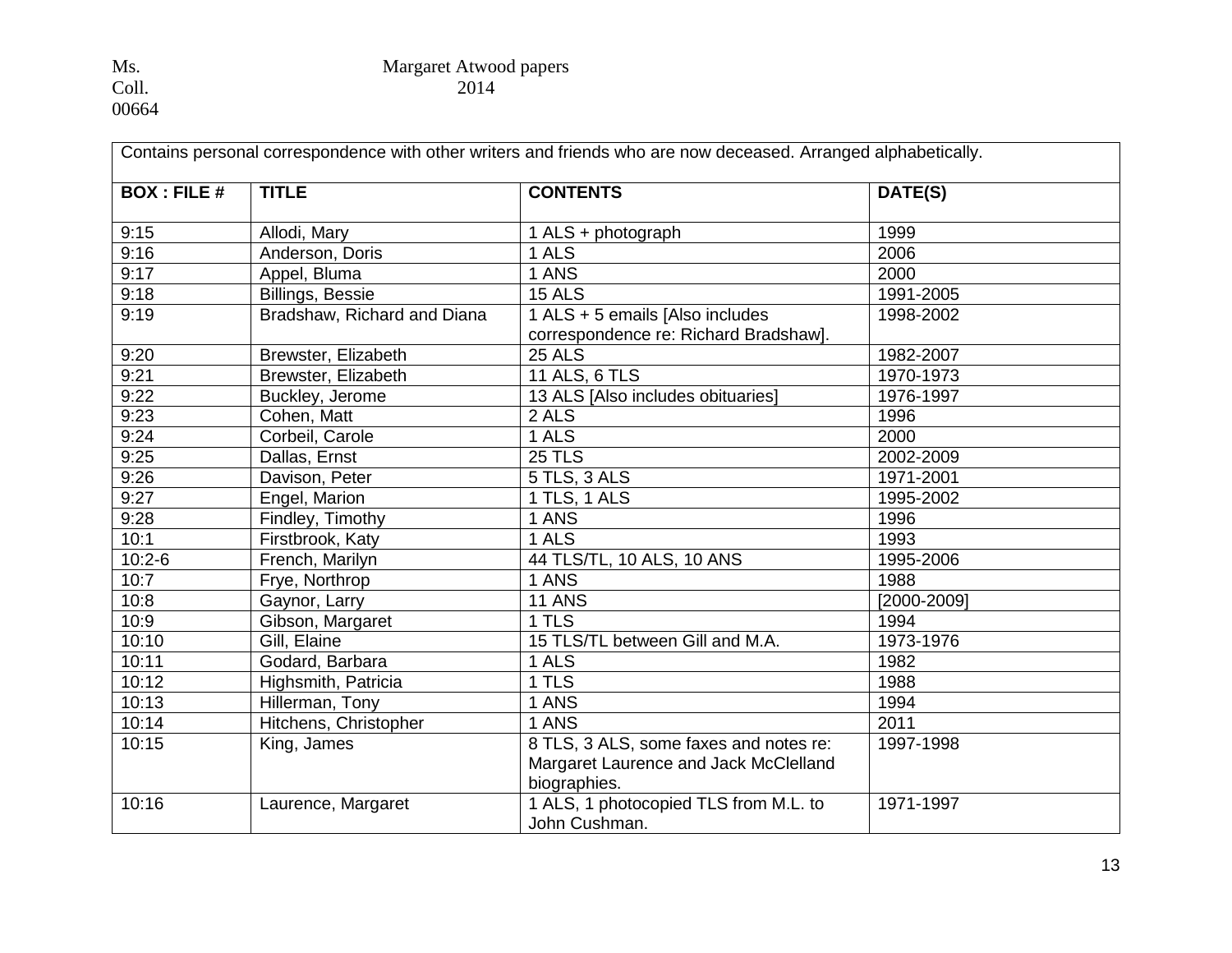#### Ms. Margaret Atwood papers Coll. 2014

|                    |                             | Contains personal correspondence with other writers and friends who are now deceased. Arranged alphabetically. |             |
|--------------------|-----------------------------|----------------------------------------------------------------------------------------------------------------|-------------|
| <b>BOX: FILE #</b> | <b>TITLE</b>                | <b>CONTENTS</b>                                                                                                | DATE(S)     |
| 9:15               | Allodi, Mary                | 1 ALS + photograph                                                                                             | 1999        |
| 9:16               | Anderson, Doris             | 1 ALS                                                                                                          | 2006        |
| 9:17               | Appel, Bluma                | 1 ANS                                                                                                          | 2000        |
| 9:18               | <b>Billings, Bessie</b>     | <b>15 ALS</b>                                                                                                  | 1991-2005   |
| 9:19               | Bradshaw, Richard and Diana | 1 ALS + 5 emails [Also includes<br>correspondence re: Richard Bradshaw].                                       | 1998-2002   |
| 9:20               | Brewster, Elizabeth         | $25$ ALS                                                                                                       | 1982-2007   |
| 9:21               | Brewster, Elizabeth         | 11 ALS, 6 TLS                                                                                                  | 1970-1973   |
| 9:22               | Buckley, Jerome             | 13 ALS [Also includes obituaries]                                                                              | 1976-1997   |
| 9:23               | Cohen, Matt                 | 2 ALS                                                                                                          | 1996        |
| 9:24               | Corbeil, Carole             | 1 ALS                                                                                                          | 2000        |
| 9:25               | Dallas, Ernst               | <b>25 TLS</b>                                                                                                  | 2002-2009   |
| 9:26               | Davison, Peter              | 5 TLS, 3 ALS                                                                                                   | 1971-2001   |
| 9:27               | Engel, Marion               | 1 TLS, 1 ALS                                                                                                   | 1995-2002   |
| 9:28               | Findley, Timothy            | 1 ANS                                                                                                          | 1996        |
| 10:1               | Firstbrook, Katy            | 1 ALS                                                                                                          | 1993        |
| $10:2-6$           | French, Marilyn             | 44 TLS/TL, 10 ALS, 10 ANS                                                                                      | 1995-2006   |
| 10:7               | Frye, Northrop              | 1 ANS                                                                                                          | 1988        |
| 10:8               | Gaynor, Larry               | <b>11 ANS</b>                                                                                                  | [2000-2009] |
| 10:9               | Gibson, Margaret            | 1TLS                                                                                                           | 1994        |
| 10:10              | Gill, Elaine                | 15 TLS/TL between Gill and M.A.                                                                                | 1973-1976   |
| 10:11              | Godard, Barbara             | 1 ALS                                                                                                          | 1982        |
| 10:12              | Highsmith, Patricia         | 1 TLS                                                                                                          | 1988        |
| 10:13              | Hillerman, Tony             | 1 ANS                                                                                                          | 1994        |
| 10:14              | Hitchens, Christopher       | 1 ANS                                                                                                          | 2011        |
| 10:15              | King, James                 | 8 TLS, 3 ALS, some faxes and notes re:<br>Margaret Laurence and Jack McClelland<br>biographies.                | 1997-1998   |
| 10:16              | Laurence, Margaret          | 1 ALS, 1 photocopied TLS from M.L. to<br>John Cushman.                                                         | 1971-1997   |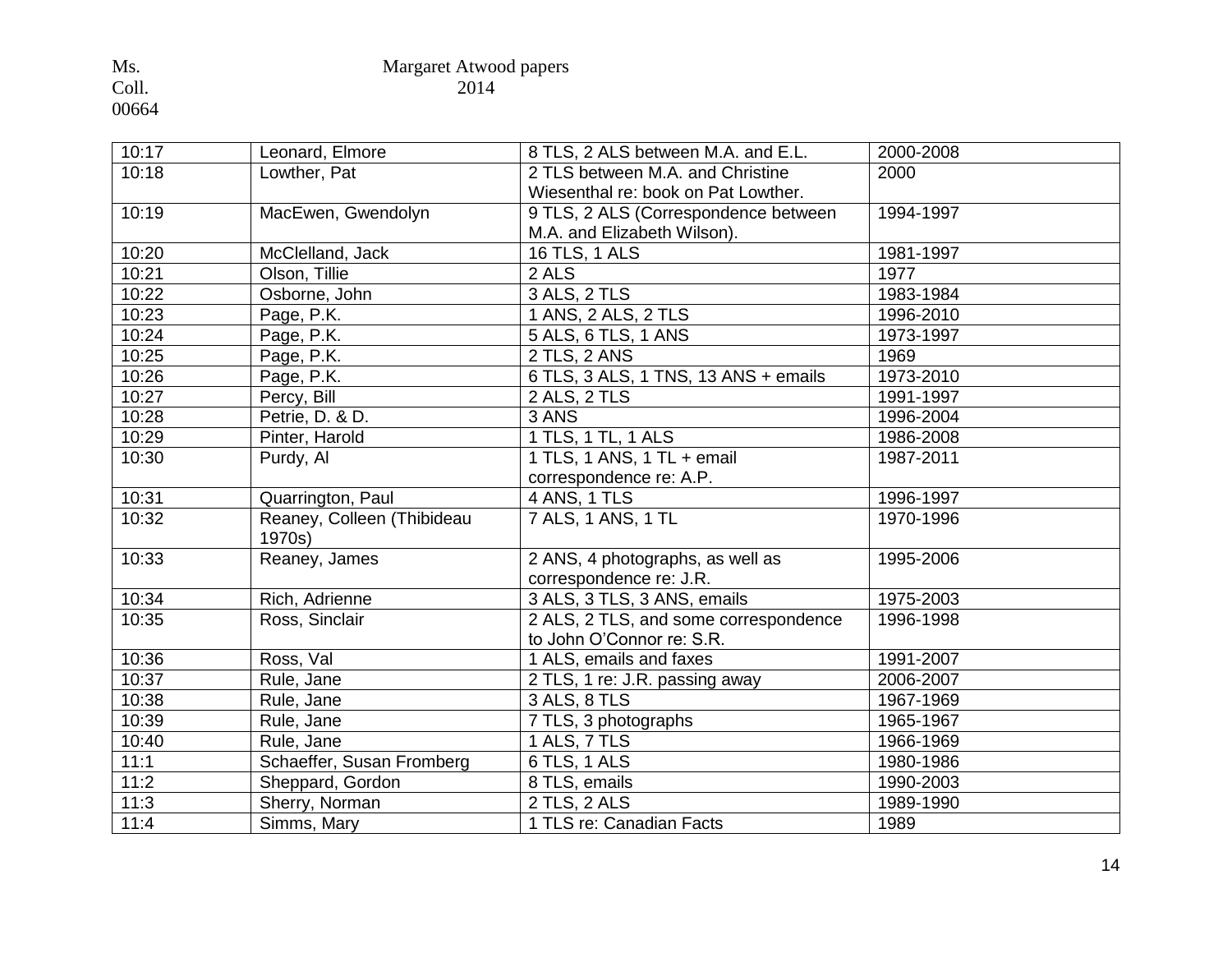#### Ms. Margaret Atwood papers Coll. 2014

| 10:17 | Leonard, Elmore            | 8 TLS, 2 ALS between M.A. and E.L.    | 2000-2008 |
|-------|----------------------------|---------------------------------------|-----------|
| 10:18 | Lowther, Pat               | 2 TLS between M.A. and Christine      | 2000      |
|       |                            | Wiesenthal re: book on Pat Lowther.   |           |
| 10:19 | MacEwen, Gwendolyn         | 9 TLS, 2 ALS (Correspondence between  | 1994-1997 |
|       |                            | M.A. and Elizabeth Wilson).           |           |
| 10:20 | McClelland, Jack           | 16 TLS, 1 ALS                         | 1981-1997 |
| 10:21 | Olson, Tillie              | 2 ALS                                 | 1977      |
| 10:22 | Osborne, John              | 3 ALS, 2 TLS                          | 1983-1984 |
| 10:23 | Page, P.K.                 | 1 ANS, 2 ALS, 2 TLS                   | 1996-2010 |
| 10:24 | Page, P.K.                 | 5 ALS, 6 TLS, 1 ANS                   | 1973-1997 |
| 10:25 | Page, P.K.                 | 2 TLS, 2 ANS                          | 1969      |
| 10:26 | Page, P.K.                 | 6 TLS, 3 ALS, 1 TNS, 13 ANS + emails  | 1973-2010 |
| 10:27 | Percy, Bill                | 2 ALS, 2 TLS                          | 1991-1997 |
| 10:28 | Petrie, D. & D.            | 3 ANS                                 | 1996-2004 |
| 10:29 | Pinter, Harold             | 1 TLS, 1 TL, 1 ALS                    | 1986-2008 |
| 10:30 | Purdy, Al                  | 1 TLS, 1 ANS, 1 TL + email            | 1987-2011 |
|       |                            | correspondence re: A.P.               |           |
| 10:31 | Quarrington, Paul          | 4 ANS, 1 TLS                          | 1996-1997 |
| 10:32 | Reaney, Colleen (Thibideau | 7 ALS, 1 ANS, 1 TL                    | 1970-1996 |
|       | 1970s)                     |                                       |           |
| 10:33 | Reaney, James              | 2 ANS, 4 photographs, as well as      | 1995-2006 |
|       |                            | correspondence re: J.R.               |           |
| 10:34 | Rich, Adrienne             | 3 ALS, 3 TLS, 3 ANS, emails           | 1975-2003 |
| 10:35 | Ross, Sinclair             | 2 ALS, 2 TLS, and some correspondence | 1996-1998 |
|       |                            | to John O'Connor re: S.R.             |           |
| 10:36 | Ross, Val                  | 1 ALS, emails and faxes               | 1991-2007 |
| 10:37 | Rule, Jane                 | 2 TLS, 1 re: J.R. passing away        | 2006-2007 |
| 10:38 | Rule, Jane                 | 3 ALS, 8 TLS                          | 1967-1969 |
| 10:39 | Rule, Jane                 | 7 TLS, 3 photographs                  | 1965-1967 |
| 10:40 | Rule, Jane                 | 1 ALS, 7 TLS                          | 1966-1969 |
| 11:1  | Schaeffer, Susan Fromberg  | 6 TLS, 1 ALS                          | 1980-1986 |
| 11:2  | Sheppard, Gordon           | 8 TLS, emails                         | 1990-2003 |
| 11:3  | Sherry, Norman             | 2 TLS, 2 ALS                          | 1989-1990 |
| 11:4  | Simms, Mary                | 1 TLS re: Canadian Facts              | 1989      |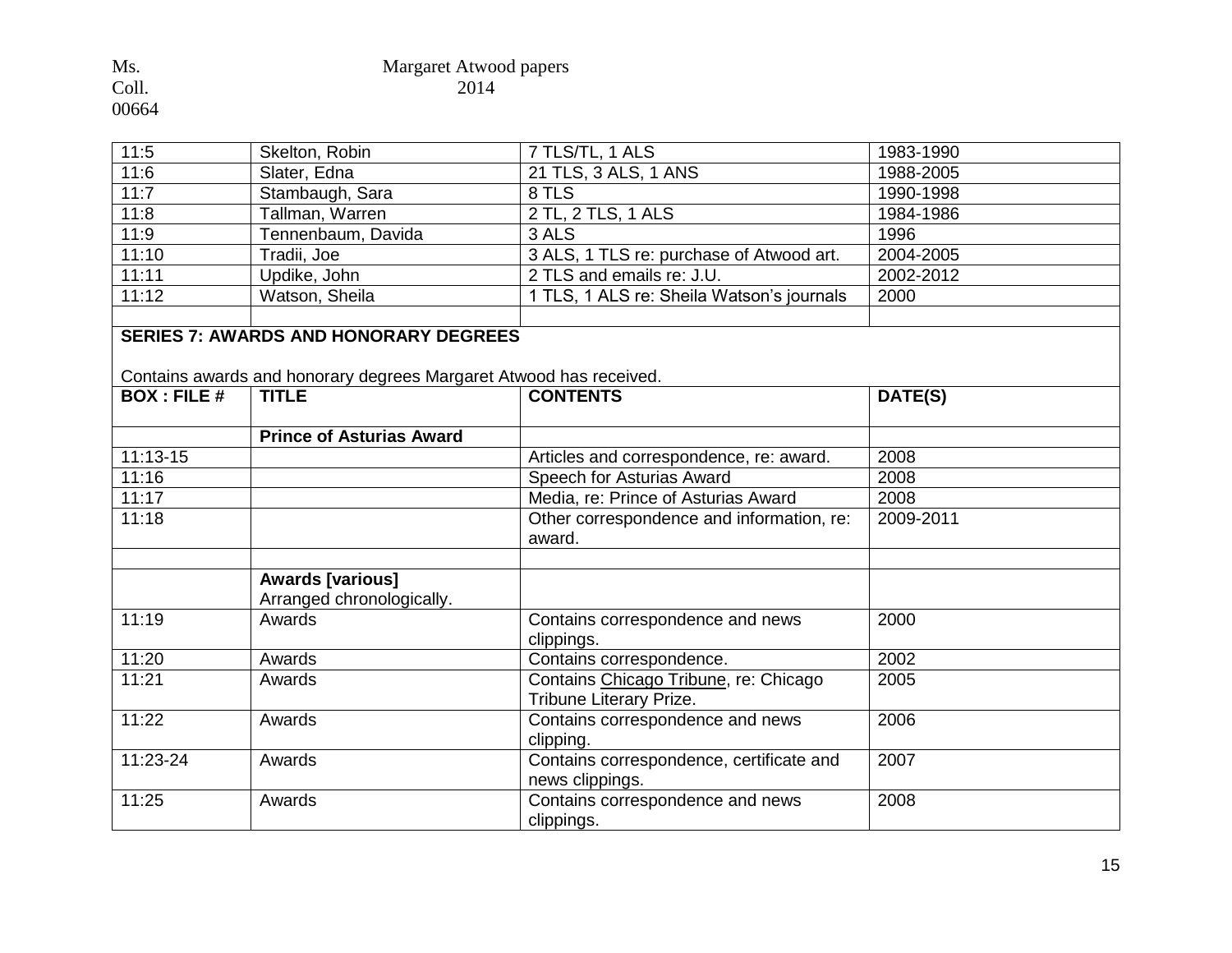| Ms.   | Margaret Atwood papers |
|-------|------------------------|
| Coll. | 2014                   |
| 00664 |                        |

| 11:5               | Skelton, Robin                                                                                                     | 7 TLS/TL, 1 ALS                                                  | 1983-1990 |
|--------------------|--------------------------------------------------------------------------------------------------------------------|------------------------------------------------------------------|-----------|
| 11:6               | Slater, Edna                                                                                                       | 21 TLS, 3 ALS, 1 ANS                                             | 1988-2005 |
| 11:7               | Stambaugh, Sara                                                                                                    | 8 TLS                                                            | 1990-1998 |
| 11:8               | Tallman, Warren                                                                                                    | 2 TL, 2 TLS, 1 ALS                                               | 1984-1986 |
| 11:9               | Tennenbaum, Davida                                                                                                 | 3 ALS                                                            | 1996      |
| 11:10              | Tradii, Joe                                                                                                        | 3 ALS, 1 TLS re: purchase of Atwood art.                         | 2004-2005 |
| 11:11              | Updike, John                                                                                                       | 2 TLS and emails re: J.U.                                        | 2002-2012 |
| 11:12              | Watson, Sheila                                                                                                     | 1 TLS, 1 ALS re: Sheila Watson's journals                        | 2000      |
|                    |                                                                                                                    |                                                                  |           |
|                    | <b>SERIES 7: AWARDS AND HONORARY DEGREES</b><br>Contains awards and honorary degrees Margaret Atwood has received. |                                                                  |           |
| <b>BOX: FILE #</b> | <b>TITLE</b>                                                                                                       | <b>CONTENTS</b>                                                  | DATE(S)   |
|                    | <b>Prince of Asturias Award</b>                                                                                    |                                                                  |           |
| 11:13-15           |                                                                                                                    | Articles and correspondence, re: award.                          | 2008      |
| 11:16              |                                                                                                                    | Speech for Asturias Award                                        | 2008      |
| 11:17              |                                                                                                                    | Media, re: Prince of Asturias Award                              | 2008      |
| 11:18              |                                                                                                                    | Other correspondence and information, re:<br>award.              | 2009-2011 |
|                    |                                                                                                                    |                                                                  |           |
|                    | <b>Awards [various]</b><br>Arranged chronologically.                                                               |                                                                  |           |
| 11:19              | Awards                                                                                                             | Contains correspondence and news<br>clippings.                   | 2000      |
| 11:20              | Awards                                                                                                             | Contains correspondence.                                         | 2002      |
| 11:21              | Awards                                                                                                             | Contains Chicago Tribune, re: Chicago<br>Tribune Literary Prize. | 2005      |
| 11:22              | Awards                                                                                                             | Contains correspondence and news<br>clipping.                    | 2006      |
| 11:23-24           | Awards                                                                                                             | Contains correspondence, certificate and<br>news clippings.      | 2007      |
| 11:25              | Awards                                                                                                             | Contains correspondence and news<br>clippings.                   | 2008      |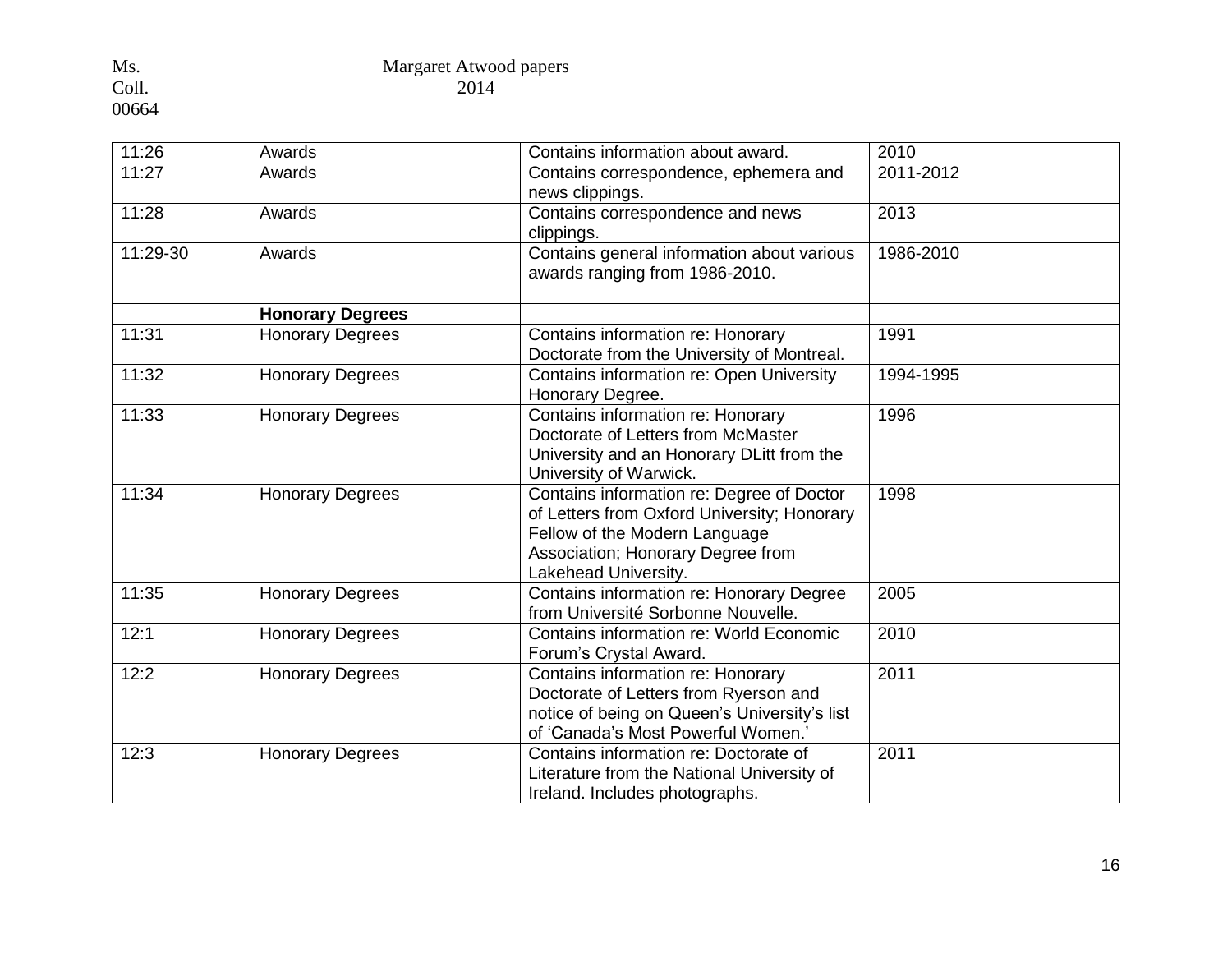#### Ms. Margaret Atwood papers Coll. 2014

| 11:26    | Awards                  | Contains information about award.            | 2010      |
|----------|-------------------------|----------------------------------------------|-----------|
| 11:27    | Awards                  | Contains correspondence, ephemera and        | 2011-2012 |
|          |                         | news clippings.                              |           |
| 11:28    | Awards                  | Contains correspondence and news             | 2013      |
|          |                         | clippings.                                   |           |
| 11:29-30 | Awards                  | Contains general information about various   | 1986-2010 |
|          |                         | awards ranging from 1986-2010.               |           |
|          |                         |                                              |           |
|          | <b>Honorary Degrees</b> |                                              |           |
| 11:31    | <b>Honorary Degrees</b> | Contains information re: Honorary            | 1991      |
|          |                         | Doctorate from the University of Montreal.   |           |
| 11:32    | <b>Honorary Degrees</b> | Contains information re: Open University     | 1994-1995 |
|          |                         | Honorary Degree.                             |           |
| 11:33    | <b>Honorary Degrees</b> | Contains information re: Honorary            | 1996      |
|          |                         | Doctorate of Letters from McMaster           |           |
|          |                         | University and an Honorary DLitt from the    |           |
|          |                         | University of Warwick.                       |           |
| 11:34    | <b>Honorary Degrees</b> | Contains information re: Degree of Doctor    | 1998      |
|          |                         | of Letters from Oxford University; Honorary  |           |
|          |                         | Fellow of the Modern Language                |           |
|          |                         | Association; Honorary Degree from            |           |
|          |                         | Lakehead University.                         |           |
| 11:35    | <b>Honorary Degrees</b> | Contains information re: Honorary Degree     | 2005      |
|          |                         | from Université Sorbonne Nouvelle.           |           |
| 12:1     | <b>Honorary Degrees</b> | Contains information re: World Economic      | 2010      |
|          |                         | Forum's Crystal Award.                       |           |
| 12:2     | <b>Honorary Degrees</b> | Contains information re: Honorary            | 2011      |
|          |                         | Doctorate of Letters from Ryerson and        |           |
|          |                         | notice of being on Queen's University's list |           |
|          |                         | of 'Canada's Most Powerful Women.'           |           |
| 12:3     | <b>Honorary Degrees</b> | Contains information re: Doctorate of        | 2011      |
|          |                         | Literature from the National University of   |           |
|          |                         | Ireland. Includes photographs.               |           |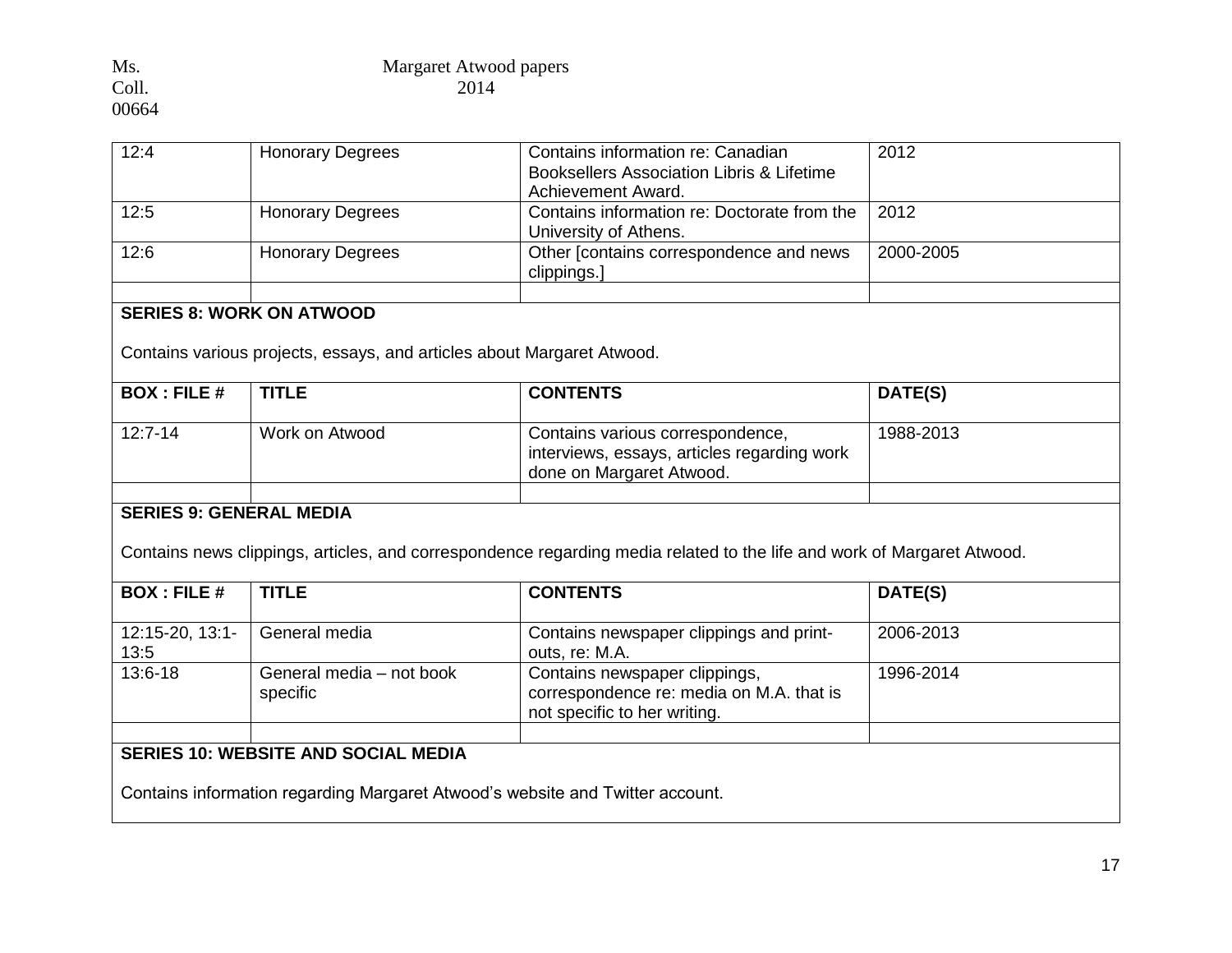Coll. 00664

| 12:4                           | <b>Honorary Degrees</b>                                                                                   | Contains information re: Canadian<br><b>Booksellers Association Libris &amp; Lifetime</b><br>Achievement Award.        | 2012      |
|--------------------------------|-----------------------------------------------------------------------------------------------------------|------------------------------------------------------------------------------------------------------------------------|-----------|
| 12:5                           | <b>Honorary Degrees</b>                                                                                   | Contains information re: Doctorate from the<br>University of Athens.                                                   | 2012      |
| 12:6                           | <b>Honorary Degrees</b>                                                                                   | Other [contains correspondence and news<br>clippings.]                                                                 | 2000-2005 |
|                                | <b>SERIES 8: WORK ON ATWOOD</b><br>Contains various projects, essays, and articles about Margaret Atwood. |                                                                                                                        |           |
|                                |                                                                                                           |                                                                                                                        |           |
| <b>BOX: FILE #</b>             | <b>TITLE</b>                                                                                              | <b>CONTENTS</b>                                                                                                        | DATE(S)   |
| $12:7-14$                      | Work on Atwood                                                                                            | Contains various correspondence,<br>interviews, essays, articles regarding work<br>done on Margaret Atwood.            | 1988-2013 |
| <b>SERIES 9: GENERAL MEDIA</b> |                                                                                                           |                                                                                                                        |           |
|                                |                                                                                                           | Contains news clippings, articles, and correspondence regarding media related to the life and work of Margaret Atwood. |           |
| <b>BOX: FILE #</b>             | <b>TITLE</b>                                                                                              | <b>CONTENTS</b>                                                                                                        | DATE(S)   |
| 12:15-20, 13:1-<br>13:5        | General media                                                                                             | Contains newspaper clippings and print-<br>outs, re: M.A.                                                              | 2006-2013 |
| 13:6-18                        | General media - not book<br>specific                                                                      | Contains newspaper clippings,<br>correspondence re: media on M.A. that is<br>not specific to her writing.              | 1996-2014 |

## **SERIES 10: WEBSITE AND SOCIAL MEDIA**

Contains information regarding Margaret Atwood's website and Twitter account.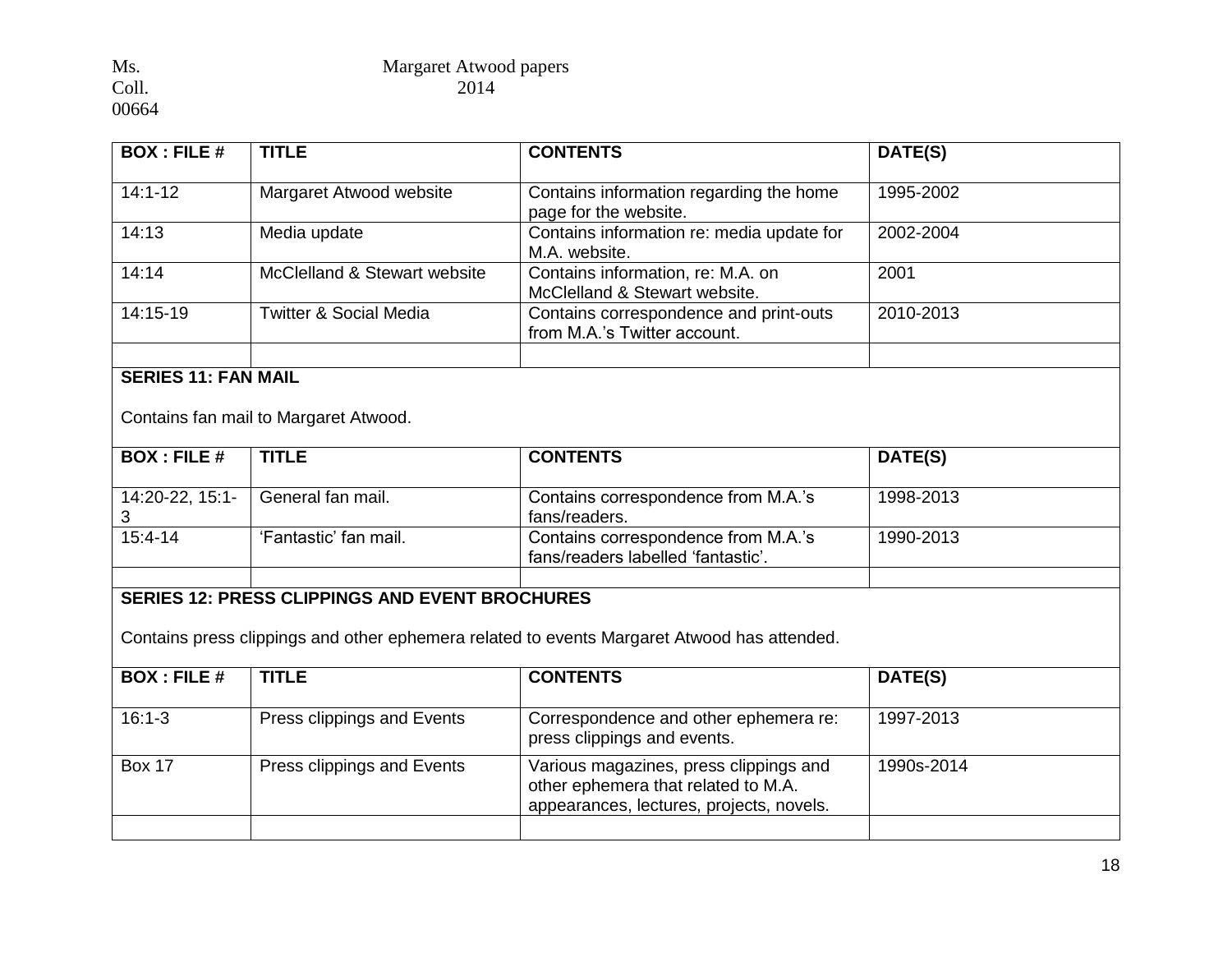Ms. Margaret Atwood papers<br>Coll. 2014 00664

# 2014

| <b>BOX: FILE #</b> | <b>TITLE</b>                      | <b>CONTENTS</b>                                                        | DATE(S)   |
|--------------------|-----------------------------------|------------------------------------------------------------------------|-----------|
| $14:1 - 12$        | Margaret Atwood website           | Contains information regarding the home<br>page for the website.       | 1995-2002 |
| 14:13              | Media update                      | Contains information re: media update for<br>M.A. website.             | 2002-2004 |
| 14:14              | McClelland & Stewart website      | Contains information, re: M.A. on<br>McClelland & Stewart website.     | 2001      |
| 14:15-19           | <b>Twitter &amp; Social Media</b> | Contains correspondence and print-outs<br>from M.A.'s Twitter account. | 2010-2013 |
|                    |                                   |                                                                        |           |

# **SERIES 11: FAN MAIL**

Contains fan mail to Margaret Atwood.

| <b>BOX: FILE #</b> | <b>TITLE</b>          | <b>CONTENTS</b>                                                           | DATE(S)   |
|--------------------|-----------------------|---------------------------------------------------------------------------|-----------|
| 14:20-22, 15:1-    | General fan mail.     | Contains correspondence from M.A.'s<br>fans/readers.                      | 1998-2013 |
| $15:4 - 14$        | 'Fantastic' fan mail. | Contains correspondence from M.A.'s<br>fans/readers labelled 'fantastic'. | 1990-2013 |
|                    |                       |                                                                           |           |

# **SERIES 12: PRESS CLIPPINGS AND EVENT BROCHURES**

Contains press clippings and other ephemera related to events Margaret Atwood has attended.

| <b>BOX: FILE #</b> | <b>TITLE</b>               | <b>CONTENTS</b>                                                                                                           | DATE(S)    |
|--------------------|----------------------------|---------------------------------------------------------------------------------------------------------------------------|------------|
| $16:1 - 3$         | Press clippings and Events | Correspondence and other ephemera re:<br>press clippings and events.                                                      | 1997-2013  |
| <b>Box 17</b>      | Press clippings and Events | Various magazines, press clippings and<br>other ephemera that related to M.A.<br>appearances, lectures, projects, novels. | 1990s-2014 |
|                    |                            |                                                                                                                           |            |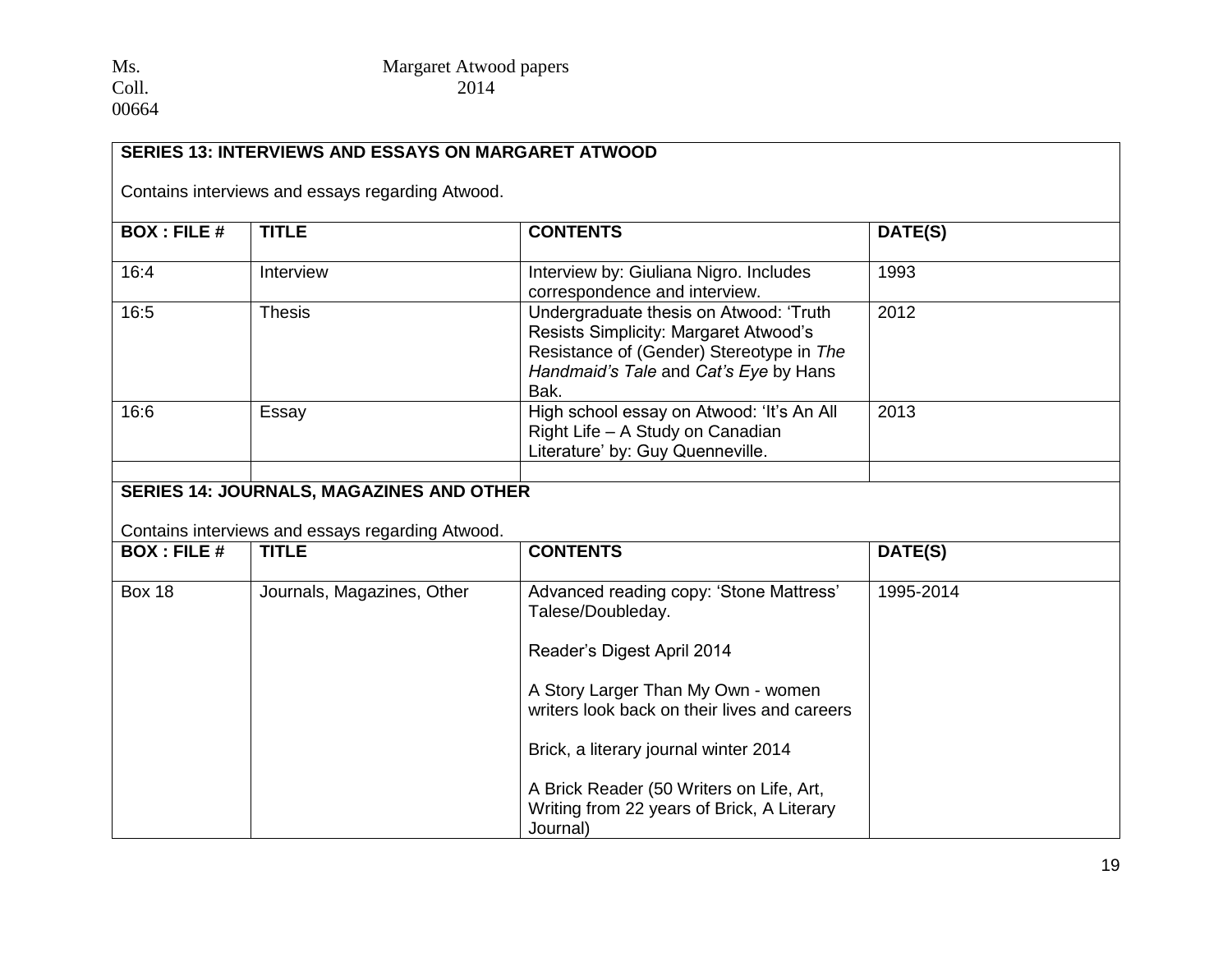| <b>BOX: FILE #</b> | <b>TITLE</b> | <b>CONTENTS</b>                                                                                                                                                              | DATE(S) |
|--------------------|--------------|------------------------------------------------------------------------------------------------------------------------------------------------------------------------------|---------|
| 16:4               | Interview    | Interview by: Giuliana Nigro. Includes<br>correspondence and interview.                                                                                                      | 1993    |
| 16:5               | Thesis       | Undergraduate thesis on Atwood: 'Truth<br>Resists Simplicity: Margaret Atwood's<br>Resistance of (Gender) Stereotype in The<br>Handmaid's Tale and Cat's Eye by Hans<br>Bak. | 2012    |
| 16:6               | Essay        | High school essay on Atwood: 'It's An All<br>Right Life - A Study on Canadian<br>Literature' by: Guy Quenneville.                                                            | 2013    |

| <b>BOX: FILE #</b> | <b>TITLE</b>               | <b>CONTENTS</b>                                                                                    | DATE(S)   |
|--------------------|----------------------------|----------------------------------------------------------------------------------------------------|-----------|
| <b>Box 18</b>      | Journals, Magazines, Other | Advanced reading copy: 'Stone Mattress'<br>Talese/Doubleday.                                       | 1995-2014 |
|                    |                            | Reader's Digest April 2014                                                                         |           |
|                    |                            | A Story Larger Than My Own - women<br>writers look back on their lives and careers                 |           |
|                    |                            | Brick, a literary journal winter 2014                                                              |           |
|                    |                            | A Brick Reader (50 Writers on Life, Art,<br>Writing from 22 years of Brick, A Literary<br>Journal) |           |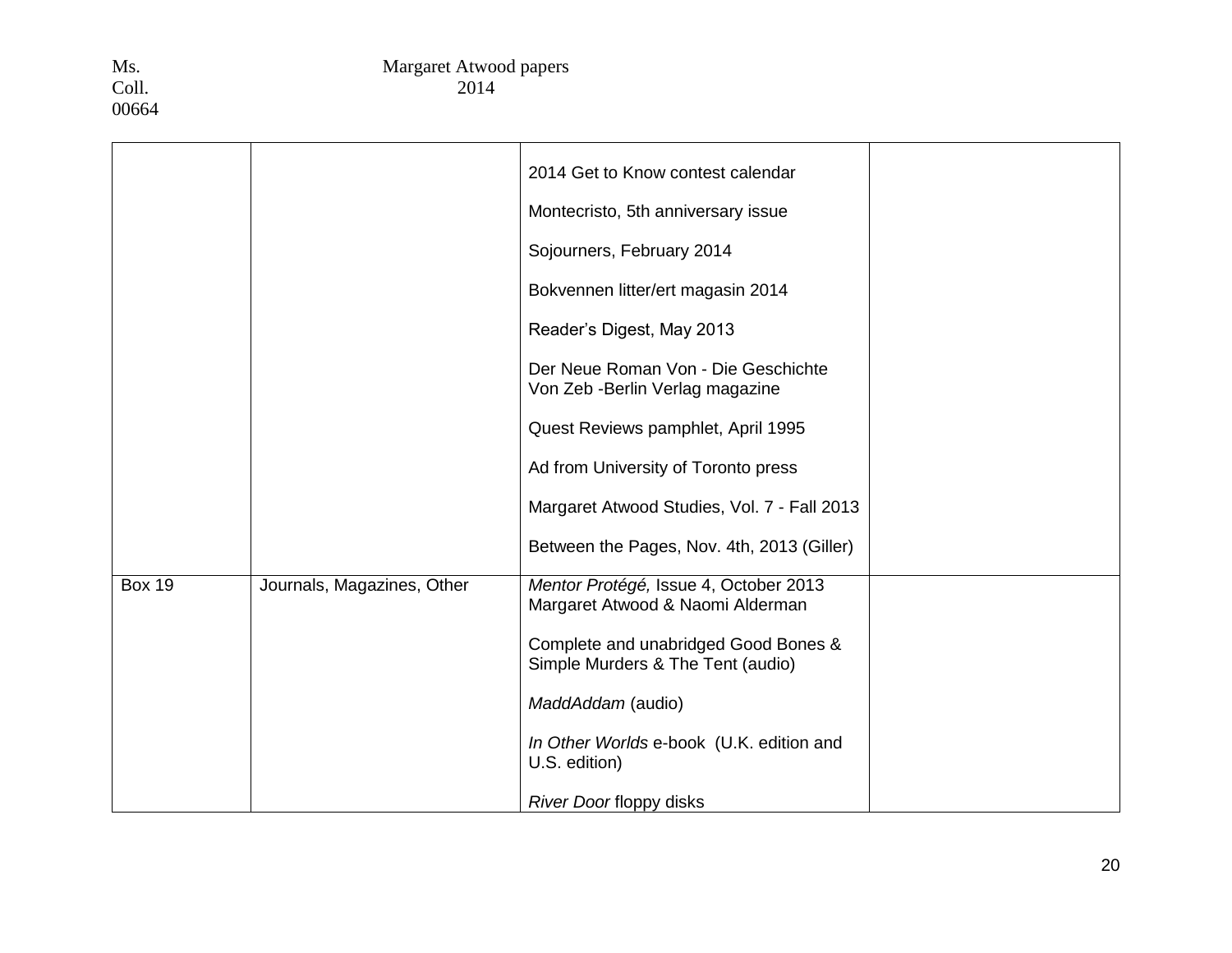|               |                            | 2014 Get to Know contest calendar                                         |  |
|---------------|----------------------------|---------------------------------------------------------------------------|--|
|               |                            | Montecristo, 5th anniversary issue                                        |  |
|               |                            | Sojourners, February 2014                                                 |  |
|               |                            | Bokvennen litter/ert magasin 2014                                         |  |
|               |                            | Reader's Digest, May 2013                                                 |  |
|               |                            | Der Neue Roman Von - Die Geschichte<br>Von Zeb - Berlin Verlag magazine   |  |
|               |                            | Quest Reviews pamphlet, April 1995                                        |  |
|               |                            | Ad from University of Toronto press                                       |  |
|               |                            | Margaret Atwood Studies, Vol. 7 - Fall 2013                               |  |
|               |                            | Between the Pages, Nov. 4th, 2013 (Giller)                                |  |
| <b>Box 19</b> | Journals, Magazines, Other | Mentor Protégé, Issue 4, October 2013<br>Margaret Atwood & Naomi Alderman |  |
|               |                            | Complete and unabridged Good Bones &<br>Simple Murders & The Tent (audio) |  |
|               |                            | MaddAddam (audio)                                                         |  |
|               |                            | In Other Worlds e-book (U.K. edition and<br>U.S. edition)                 |  |
|               |                            | River Door floppy disks                                                   |  |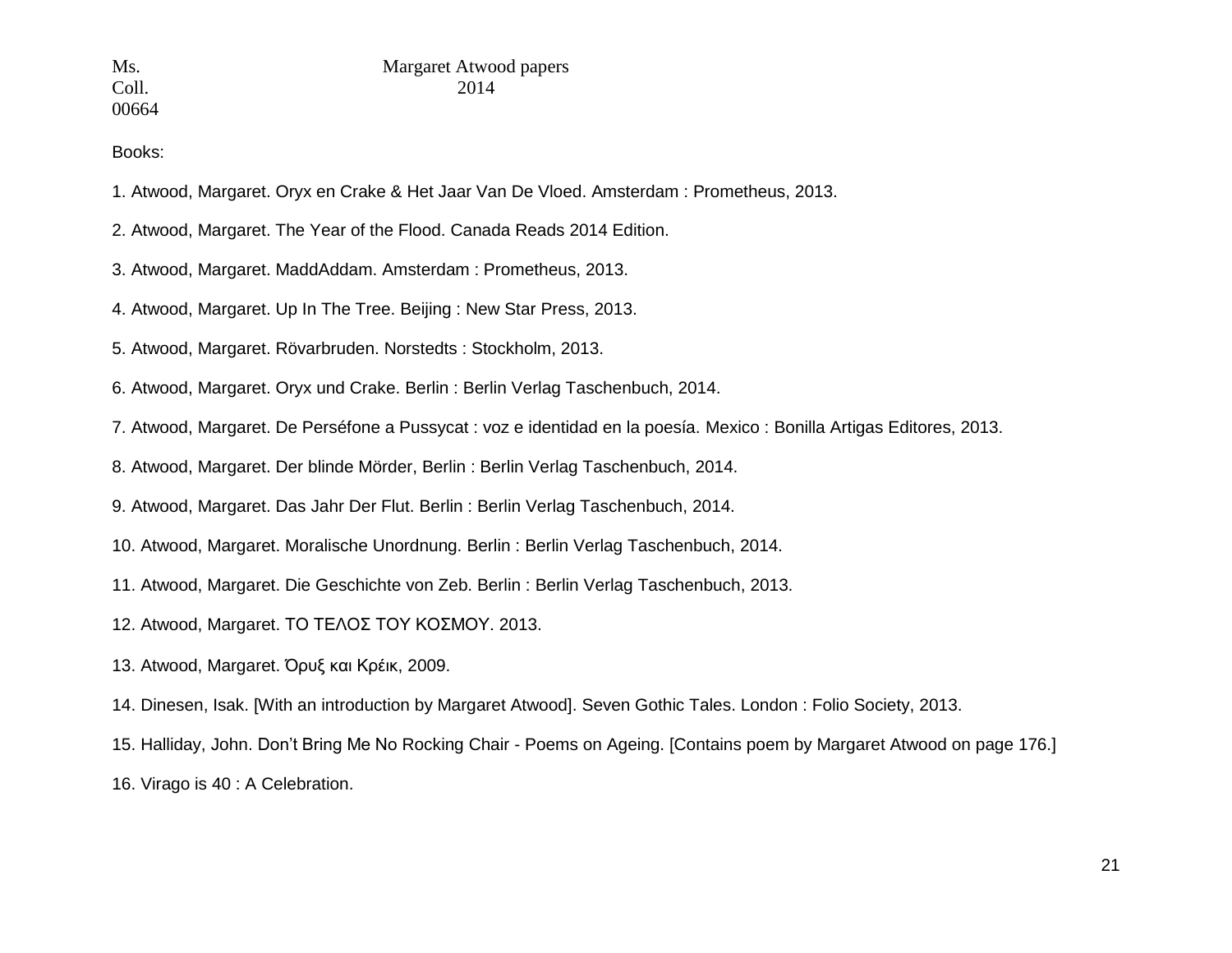## Ms. Margaret Atwood papers Coll. 2014

Books:

- 1. Atwood, Margaret. Oryx en Crake & Het Jaar Van De Vloed. Amsterdam : Prometheus, 2013.
- 2. Atwood, Margaret. The Year of the Flood. Canada Reads 2014 Edition.
- 3. Atwood, Margaret. MaddAddam. Amsterdam : Prometheus, 2013.
- 4. Atwood, Margaret. Up In The Tree. Beijing : New Star Press, 2013.
- 5. Atwood, Margaret. Rövarbruden. Norstedts : Stockholm, 2013.
- 6. Atwood, Margaret. Oryx und Crake. Berlin : Berlin Verlag Taschenbuch, 2014.
- 7. Atwood, Margaret. De Perséfone a Pussycat : voz e identidad en la poesía. Mexico : Bonilla Artigas Editores, 2013.
- 8. Atwood, Margaret. Der blinde Mörder, Berlin : Berlin Verlag Taschenbuch, 2014.
- 9. Atwood, Margaret. Das Jahr Der Flut. Berlin : Berlin Verlag Taschenbuch, 2014.
- 10. Atwood, Margaret. Moralische Unordnung. Berlin : Berlin Verlag Taschenbuch, 2014.
- 11. Atwood, Margaret. Die Geschichte von Zeb. Berlin : Berlin Verlag Taschenbuch, 2013.
- 12. Atwood, Margaret. ΤΟ ΤΕΛΟΣ ΤΟΥ ΚΟΣΜΟΥ. 2013.
- 13. Atwood, Margaret. [Όρυξ και Κρέικ,](http://www.biblionet.gr/book/194255/Atwood,_Margaret,_1939-/%CE%8C%CF%81%CF%85%CE%BE_%CE%BA%CE%B1%CE%B9_%CE%9A%CF%81%CE%AD%CE%B9%CE%BA) 2009.
- 14. Dinesen, Isak. [With an introduction by Margaret Atwood]. Seven Gothic Tales. London : Folio Society, 2013.
- 15. Halliday, John. Don't Bring Me No Rocking Chair Poems on Ageing. [Contains poem by Margaret Atwood on page 176.]
- 16. Virago is 40 : A Celebration.